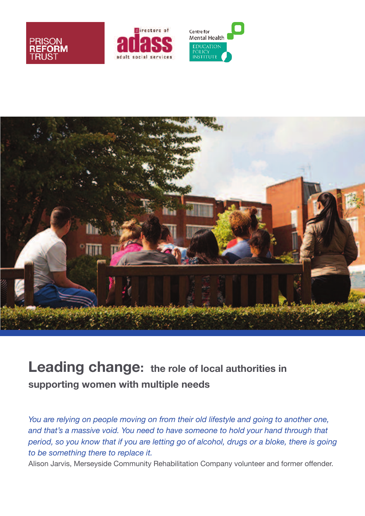







# **Leading change: the role of local authorities in supporting women with multiple needs**

*You are relying on people moving on from their old lifestyle and going to another one, and that's a massive void. You need to have someone to hold your hand through that period, so you know that if you are letting go of alcohol, drugs or a bloke, there is going to be something there to replace it.*

Alison Jarvis, Merseyside Community Rehabilitation Company volunteer and former offender.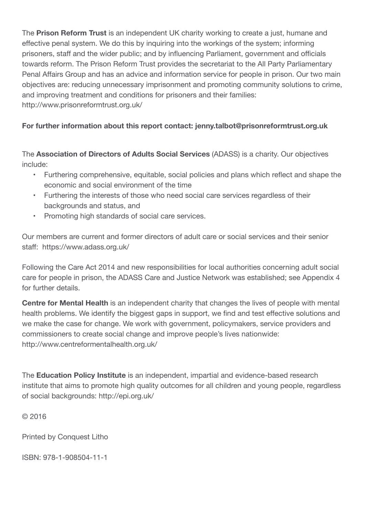The **Prison Reform Trust** is an independent UK charity working to create a just, humane and effective penal system. We do this by inquiring into the workings of the system; informing prisoners, staff and the wider public; and by influencing Parliament, government and officials towards reform. The Prison Reform Trust provides the secretariat to the All Party Parliamentary Penal Affairs Group and has an advice and information service for people in prison. Our two main objectives are: reducing unnecessary imprisonment and promoting community solutions to crime, and improving treatment and conditions for prisoners and their families: http://www.prisonreformtrust.org.uk/

#### **For further information about this report contact: jenny.talbot@prisonreformtrust.org.uk**

The **Association of Directors of Adults Social Services** (ADASS) is a charity. Our objectives include:

- Furthering comprehensive, equitable, social policies and plans which reflect and shape the economic and social environment of the time
- Furthering the interests of those who need social care services regardless of their backgrounds and status, and
- Promoting high standards of social care services.

Our members are current and former directors of adult care or social services and their senior staff: https://www.adass.org.uk/

Following the Care Act 2014 and new responsibilities for local authorities concerning adult social care for people in prison, the ADASS Care and Justice Network was established; see Appendix 4 for further details.

**Centre for Mental Health** is an independent charity that changes the lives of people with mental health problems. We identify the biggest gaps in support, we find and test effective solutions and we make the case for change. We work with government, policymakers, service providers and commissioners to create social change and improve people's lives nationwide: http://www.centreformentalhealth.org.uk/

The **Education Policy Institute** is an independent, impartial and evidence-based research institute that aims to promote high quality outcomes for all children and young people, regardless of social backgrounds: http://epi.org.uk/

© 2016

Printed by Conquest Litho

ISBN: 978-1-908504-11-1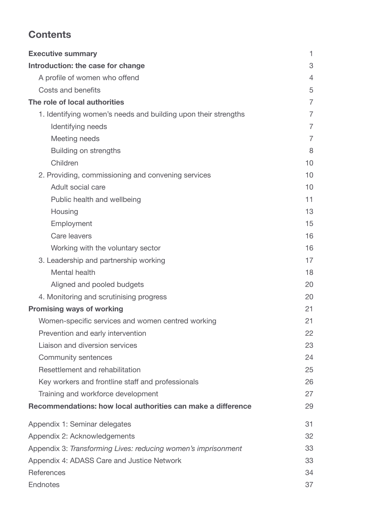## **Contents**

| <b>Executive summary</b>                                       | 1              |
|----------------------------------------------------------------|----------------|
| Introduction: the case for change                              | 3              |
| A profile of women who offend                                  | $\overline{4}$ |
| Costs and benefits                                             | 5              |
| The role of local authorities                                  | $\overline{7}$ |
| 1. Identifying women's needs and building upon their strengths | $\overline{7}$ |
| Identifying needs                                              | $\overline{7}$ |
| Meeting needs                                                  | $\overline{7}$ |
| <b>Building on strengths</b>                                   | 8              |
| Children                                                       | 10             |
| 2. Providing, commissioning and convening services             | 10             |
| Adult social care                                              | 10             |
| Public health and wellbeing                                    | 11             |
| Housing                                                        | 13             |
| Employment                                                     | 15             |
| Care leavers                                                   | 16             |
| Working with the voluntary sector                              | 16             |
| 3. Leadership and partnership working                          | 17             |
| Mental health                                                  | 18             |
| Aligned and pooled budgets                                     | 20             |
| 4. Monitoring and scrutinising progress                        | 20             |
| <b>Promising ways of working</b>                               | 21             |
| Women-specific services and women centred working              | 21             |
| Prevention and early intervention                              | 22             |
| Liaison and diversion services                                 | 23             |
| <b>Community sentences</b>                                     | 24             |
| Resettlement and rehabilitation                                | 25             |
| Key workers and frontline staff and professionals              | 26             |
| Training and workforce development                             | 27             |
| Recommendations: how local authorities can make a difference   | 29             |
| Appendix 1: Seminar delegates                                  | 31             |
| Appendix 2: Acknowledgements                                   | 32             |
| Appendix 3: Transforming Lives: reducing women's imprisonment  | 33             |
| Appendix 4: ADASS Care and Justice Network                     | 33             |
| References                                                     | 34             |
| <b>Endnotes</b>                                                | 37             |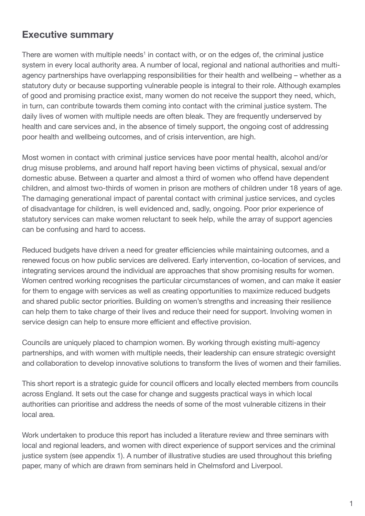## **Executive summary**

There are women with multiple needs<sup>1</sup> in contact with, or on the edges of, the criminal justice system in every local authority area. A number of local, regional and national authorities and multiagency partnerships have overlapping responsibilities for their health and wellbeing – whether as a statutory duty or because supporting vulnerable people is integral to their role. Although examples of good and promising practice exist, many women do not receive the support they need, which, in turn, can contribute towards them coming into contact with the criminal justice system. The daily lives of women with multiple needs are often bleak. They are frequently underserved by health and care services and, in the absence of timely support, the ongoing cost of addressing poor health and wellbeing outcomes, and of crisis intervention, are high.

Most women in contact with criminal justice services have poor mental health, alcohol and/or drug misuse problems, and around half report having been victims of physical, sexual and/or domestic abuse. Between a quarter and almost a third of women who offend have dependent children, and almost two-thirds of women in prison are mothers of children under 18 years of age. The damaging generational impact of parental contact with criminal justice services, and cycles of disadvantage for children, is well evidenced and, sadly, ongoing. Poor prior experience of statutory services can make women reluctant to seek help, while the array of support agencies can be confusing and hard to access.

Reduced budgets have driven a need for greater efficiencies while maintaining outcomes, and a renewed focus on how public services are delivered. Early intervention, co-location of services, and integrating services around the individual are approaches that show promising results for women. Women centred working recognises the particular circumstances of women, and can make it easier for them to engage with services as well as creating opportunities to maximize reduced budgets and shared public sector priorities. Building on women's strengths and increasing their resilience can help them to take charge of their lives and reduce their need for support. Involving women in service design can help to ensure more efficient and effective provision.

Councils are uniquely placed to champion women. By working through existing multi-agency partnerships, and with women with multiple needs, their leadership can ensure strategic oversight and collaboration to develop innovative solutions to transform the lives of women and their families.

This short report is a strategic guide for council officers and locally elected members from councils across England. It sets out the case for change and suggests practical ways in which local authorities can prioritise and address the needs of some of the most vulnerable citizens in their local area.

Work undertaken to produce this report has included a literature review and three seminars with local and regional leaders, and women with direct experience of support services and the criminal justice system (see appendix 1). A number of illustrative studies are used throughout this briefing paper, many of which are drawn from seminars held in Chelmsford and Liverpool.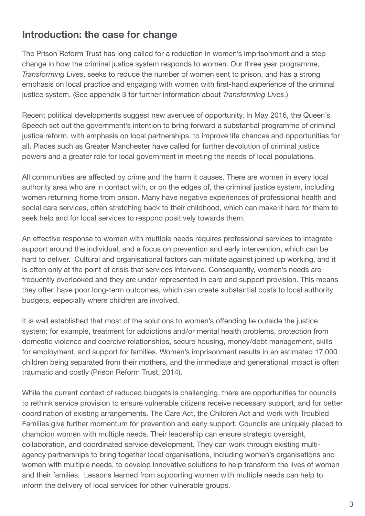## **Introduction: the case for change**

The Prison Reform Trust has long called for a reduction in women's imprisonment and a step change in how the criminal justice system responds to women. Our three year programme, *Transforming Lives*, seeks to reduce the number of women sent to prison, and has a strong emphasis on local practice and engaging with women with first-hand experience of the criminal justice system. (See appendix 3 for further information about *Transforming Lives*.)

Recent political developments suggest new avenues of opportunity. In May 2016, the Queen's Speech set out the government's intention to bring forward a substantial programme of criminal justice reform, with emphasis on local partnerships, to improve life chances and opportunities for all. Places such as Greater Manchester have called for further devolution of criminal justice powers and a greater role for local government in meeting the needs of local populations.

All communities are affected by crime and the harm it causes. There are women in every local authority area who are in contact with, or on the edges of, the criminal justice system, including women returning home from prison. Many have negative experiences of professional health and social care services, often stretching back to their childhood, which can make it hard for them to seek help and for local services to respond positively towards them.

An effective response to women with multiple needs requires professional services to integrate support around the individual, and a focus on prevention and early intervention, which can be hard to deliver. Cultural and organisational factors can militate against joined up working, and it is often only at the point of crisis that services intervene. Consequently, women's needs are frequently overlooked and they are under-represented in care and support provision. This means they often have poor long-term outcomes, which can create substantial costs to local authority budgets, especially where children are involved.

It is well established that most of the solutions to women's offending lie outside the justice system; for example, treatment for addictions and/or mental health problems, protection from domestic violence and coercive relationships, secure housing, money/debt management, skills for employment, and support for families. Women's imprisonment results in an estimated 17,000 children being separated from their mothers, and the immediate and generational impact is often traumatic and costly (Prison Reform Trust, 2014).

While the current context of reduced budgets is challenging, there are opportunities for councils to rethink service provision to ensure vulnerable citizens receive necessary support, and for better coordination of existing arrangements. The Care Act, the Children Act and work with Troubled Families give further momentum for prevention and early support. Councils are uniquely placed to champion women with multiple needs. Their leadership can ensure strategic oversight, collaboration, and coordinated service development. They can work through existing multiagency partnerships to bring together local organisations, including women's organisations and women with multiple needs, to develop innovative solutions to help transform the lives of women and their families. Lessons learned from supporting women with multiple needs can help to inform the delivery of local services for other vulnerable groups.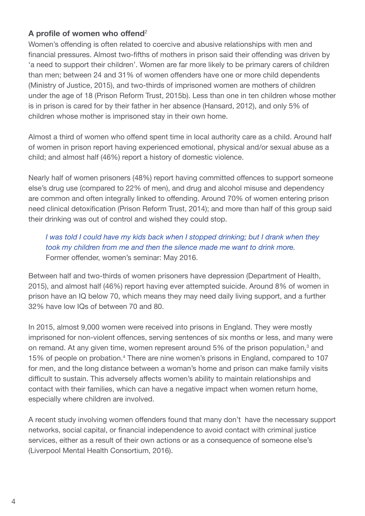### **A profile of women who offend**<sup>2</sup>

Women's offending is often related to coercive and abusive relationships with men and financial pressures. Almost two-fifths of mothers in prison said their offending was driven by 'a need to support their children'. Women are far more likely to be primary carers of children than men; between 24 and 31% of women offenders have one or more child dependents (Ministry of Justice, 2015), and two-thirds of imprisoned women are mothers of children under the age of 18 (Prison Reform Trust, 2015b). Less than one in ten children whose mother is in prison is cared for by their father in her absence (Hansard, 2012), and only 5% of children whose mother is imprisoned stay in their own home.

Almost a third of women who offend spent time in local authority care as a child. Around half of women in prison report having experienced emotional, physical and/or sexual abuse as a child; and almost half (46%) report a history of domestic violence.

Nearly half of women prisoners (48%) report having committed offences to support someone else's drug use (compared to 22% of men), and drug and alcohol misuse and dependency are common and often integrally linked to offending. Around 70% of women entering prison need clinical detoxification (Prison Reform Trust, 2014); and more than half of this group said their drinking was out of control and wished they could stop.

*I was told I could have my kids back when I stopped drinking; but I drank when they took my children from me and then the silence made me want to drink more.* Former offender, women's seminar: May 2016.

Between half and two-thirds of women prisoners have depression (Department of Health, 2015), and almost half (46%) report having ever attempted suicide. Around 8% of women in prison have an IQ below 70, which means they may need daily living support, and a further 32% have low IQs of between 70 and 80.

In 2015, almost 9,000 women were received into prisons in England. They were mostly imprisoned for non-violent offences, serving sentences of six months or less, and many were on remand. At any given time, women represent around 5% of the prison population,<sup>3</sup> and 15% of people on probation. <sup>4</sup> There are nine women's prisons in England, compared to 107 for men, and the long distance between a woman's home and prison can make family visits difficult to sustain. This adversely affects women's ability to maintain relationships and contact with their families, which can have a negative impact when women return home, especially where children are involved.

A recent study involving women offenders found that many don't have the necessary support networks, social capital, or financial independence to avoid contact with criminal justice services, either as a result of their own actions or as a consequence of someone else's (Liverpool Mental Health Consortium, 2016).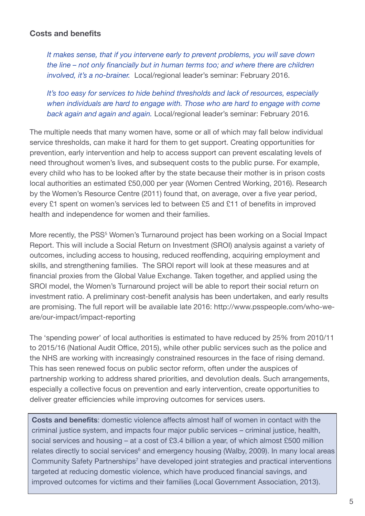#### **Costs and benefits**

*It makes sense, that if you intervene early to prevent problems, you will save down the line – not only financially but in human terms too; and where there are children involved, it's a no-brainer.* Local/regional leader's seminar: February 2016.

*It's too easy for services to hide behind thresholds and lack of resources, especially when individuals are hard to engage with. Those who are hard to engage with come back again and again and again.* Local/regional leader's seminar: February 2016*.*

The multiple needs that many women have, some or all of which may fall below individual service thresholds, can make it hard for them to get support. Creating opportunities for prevention, early intervention and help to access support can prevent escalating levels of need throughout women's lives, and subsequent costs to the public purse. For example, every child who has to be looked after by the state because their mother is in prison costs local authorities an estimated £50,000 per year (Women Centred Working, 2016). Research by the Women's Resource Centre (2011) found that, on average, over a five year period, every £1 spent on women's services led to between £5 and £11 of benefits in improved health and independence for women and their families.

More recently, the PSS<sup>5</sup> Women's Turnaround project has been working on a Social Impact Report. This will include a Social Return on Investment (SROI) analysis against a variety of outcomes, including access to housing, reduced reoffending, acquiring employment and skills, and strengthening families. The SROI report will look at these measures and at financial proxies from the Global Value Exchange. Taken together, and applied using the SROI model, the Women's Turnaround project will be able to report their social return on investment ratio. A preliminary cost-benefit analysis has been undertaken, and early results are promising. The full report will be available late 2016: http://www.psspeople.com/who-weare/our-impact/impact-reporting

The 'spending power' of local authorities is estimated to have reduced by 25% from 2010/11 to 2015/16 (National Audit Office, 2015), while other public services such as the police and the NHS are working with increasingly constrained resources in the face of rising demand. This has seen renewed focus on public sector reform, often under the auspices of partnership working to address shared priorities, and devolution deals. Such arrangements, especially a collective focus on prevention and early intervention, create opportunities to deliver greater efficiencies while improving outcomes for services users.

**Costs and benefits**: domestic violence affects almost half of women in contact with the criminal justice system, and impacts four major public services – criminal justice, health, social services and housing – at a cost of £3.4 billion a year, of which almost £500 million relates directly to social services<sup>6</sup> and emergency housing (Walby, 2009). In many local areas Community Safety Partnerships<sup>7</sup> have developed joint strategies and practical interventions targeted at reducing domestic violence, which have produced financial savings, and improved outcomes for victims and their families (Local Government Association, 2013).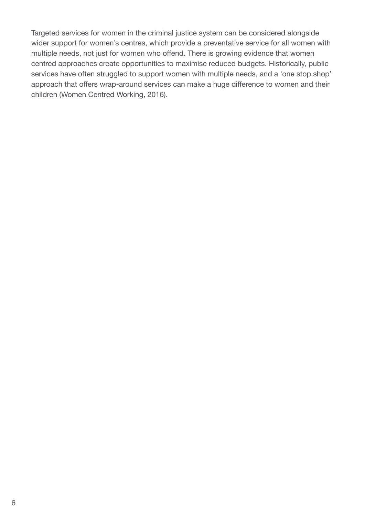Targeted services for women in the criminal justice system can be considered alongside wider support for women's centres, which provide a preventative service for all women with multiple needs, not just for women who offend. There is growing evidence that women centred approaches create opportunities to maximise reduced budgets. Historically, public services have often struggled to support women with multiple needs, and a 'one stop shop' approach that offers wrap-around services can make a huge difference to women and their children (Women Centred Working, 2016).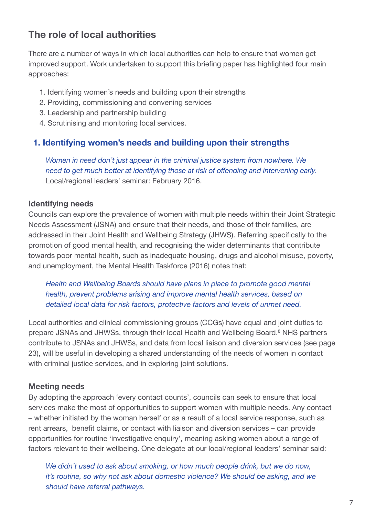## **The role of local authorities**

There are a number of ways in which local authorities can help to ensure that women get improved support. Work undertaken to support this briefing paper has highlighted four main approaches:

- 1. Identifying women's needs and building upon their strengths
- 2. Providing, commissioning and convening services
- 3. Leadership and partnership building
- 4. Scrutinising and monitoring local services.

#### **1. Identifying women's needs and building upon their strengths**

*Women in need don't just appear in the criminal justice system from nowhere. We need to get much better at identifying those at risk of offending and intervening early.* Local/regional leaders' seminar: February 2016.

#### **Identifying needs**

Councils can explore the prevalence of women with multiple needs within their Joint Strategic Needs Assessment (JSNA) and ensure that their needs, and those of their families, are addressed in their Joint Health and Wellbeing Strategy (JHWS). Referring specifically to the promotion of good mental health, and recognising the wider determinants that contribute towards poor mental health, such as inadequate housing, drugs and alcohol misuse, poverty, and unemployment, the Mental Health Taskforce (2016) notes that:

*Health and Wellbeing Boards should have plans in place to promote good mental health, prevent problems arising and improve mental health services, based on detailed local data for risk factors, protective factors and levels of unmet need.*

Local authorities and clinical commissioning groups (CCGs) have equal and joint duties to prepare JSNAs and JHWSs, through their local Health and Wellbeing Board. <sup>8</sup> NHS partners contribute to JSNAs and JHWSs, and data from local liaison and diversion services (see page 23), will be useful in developing a shared understanding of the needs of women in contact with criminal justice services, and in exploring joint solutions.

#### **Meeting needs**

By adopting the approach 'every contact counts', councils can seek to ensure that local services make the most of opportunities to support women with multiple needs. Any contact – whether initiated by the woman herself or as a result of a local service response, such as rent arrears, benefit claims, or contact with liaison and diversion services – can provide opportunities for routine 'investigative enquiry', meaning asking women about a range of factors relevant to their wellbeing. One delegate at our local/regional leaders' seminar said:

*We didn't used to ask about smoking, or how much people drink, but we do now, it's routine, so why not ask about domestic violence? We should be asking, and we should have referral pathways.*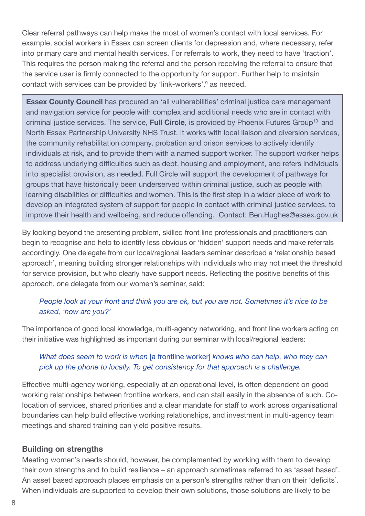Clear referral pathways can help make the most of women's contact with local services. For example, social workers in Essex can screen clients for depression and, where necessary, refer into primary care and mental health services. For referrals to work, they need to have 'traction'. This requires the person making the referral and the person receiving the referral to ensure that the service user is firmly connected to the opportunity for support. Further help to maintain contact with services can be provided by 'link-workers', <sup>9</sup> as needed.

**Essex County Council** has procured an 'all vulnerabilities' criminal justice care management and navigation service for people with complex and additional needs who are in contact with criminal justice services. The service, **Full Circle**, is provided by Phoenix Futures Group<sup>10</sup> and North Essex Partnership University NHS Trust. It works with local liaison and diversion services, the community rehabilitation company, probation and prison services to actively identify individuals at risk, and to provide them with a named support worker. The support worker helps to address underlying difficulties such as debt, housing and employment, and refers individuals into specialist provision, as needed. Full Circle will support the development of pathways for groups that have historically been underserved within criminal justice, such as people with learning disabilities or difficulties and women. This is the first step in a wider piece of work to develop an integrated system of support for people in contact with criminal justice services, to improve their health and wellbeing, and reduce offending. Contact: Ben.Hughes@essex.gov.uk

By looking beyond the presenting problem, skilled front line professionals and practitioners can begin to recognise and help to identify less obvious or 'hidden' support needs and make referrals accordingly. One delegate from our local/regional leaders seminar described a 'relationship based approach', meaning building stronger relationships with individuals who may not meet the threshold for service provision, but who clearly have support needs. Reflecting the positive benefits of this approach, one delegate from our women's seminar, said:

#### *People look at your front and think you are ok, but you are not. Sometimes it's nice to be asked, 'how are you?'*

The importance of good local knowledge, multi-agency networking, and front line workers acting on their initiative was highlighted as important during our seminar with local/regional leaders:

#### *What does seem to work is when* [a frontline worker] *knows who can help, who they can pick up the phone to locally. To get consistency for that approach is a challenge.*

Effective multi-agency working, especially at an operational level, is often dependent on good working relationships between frontline workers, and can stall easily in the absence of such. Colocation of services, shared priorities and a clear mandate for staff to work across organisational boundaries can help build effective working relationships, and investment in multi-agency team meetings and shared training can yield positive results.

#### **Building on strengths**

Meeting women's needs should, however, be complemented by working with them to develop their own strengths and to build resilience – an approach sometimes referred to as 'asset based'. An asset based approach places emphasis on a person's strengths rather than on their 'deficits'. When individuals are supported to develop their own solutions, those solutions are likely to be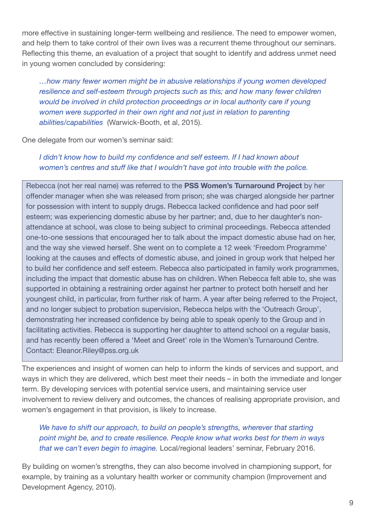more effective in sustaining longer-term wellbeing and resilience. The need to empower women, and help them to take control of their own lives was a recurrent theme throughout our seminars. Reflecting this theme, an evaluation of a project that sought to identify and address unmet need in young women concluded by considering:

*…how many fewer women might be in abusive relationships if young women developed resilience and self-esteem through projects such as this; and how many fewer children would be involved in child protection proceedings or in local authority care if young women were supported in their own right and not just in relation to parenting abilities/capabilities* (Warwick-Booth, et al, 2015).

One delegate from our women's seminar said:

#### *I didn't know how to build my confidence and self esteem. If I had known about women's centres and stuff like that I wouldn't have got into trouble with the police.*

Rebecca (not her real name) was referred to the **PSS Women's Turnaround Project** by her offender manager when she was released from prison; she was charged alongside her partner for possession with intent to supply drugs. Rebecca lacked confidence and had poor self esteem; was experiencing domestic abuse by her partner; and, due to her daughter's nonattendance at school, was close to being subject to criminal proceedings. Rebecca attended one-to-one sessions that encouraged her to talk about the impact domestic abuse had on her, and the way she viewed herself. She went on to complete a 12 week 'Freedom Programme' looking at the causes and effects of domestic abuse, and joined in group work that helped her to build her confidence and self esteem. Rebecca also participated in family work programmes, including the impact that domestic abuse has on children. When Rebecca felt able to, she was supported in obtaining a restraining order against her partner to protect both herself and her youngest child, in particular, from further risk of harm. A year after being referred to the Project, and no longer subject to probation supervision, Rebecca helps with the 'Outreach Group', demonstrating her increased confidence by being able to speak openly to the Group and in facilitating activities. Rebecca is supporting her daughter to attend school on a regular basis, and has recently been offered a 'Meet and Greet' role in the Women's Turnaround Centre. Contact: Eleanor.Riley@pss.org.uk

The experiences and insight of women can help to inform the kinds of services and support, and ways in which they are delivered, which best meet their needs – in both the immediate and longer term. By developing services with potential service users, and maintaining service user involvement to review delivery and outcomes, the chances of realising appropriate provision, and women's engagement in that provision, is likely to increase.

*We have to shift our approach, to build on people's strengths, wherever that starting point might be, and to create resilience. People know what works best for them in ways that we can't even begin to imagine.* Local/regional leaders' seminar, February 2016.

By building on women's strengths, they can also become involved in championing support, for example, by training as a voluntary health worker or community champion (Improvement and Development Agency, 2010).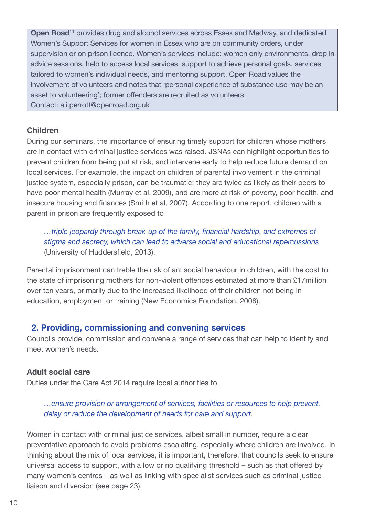**Open Road<sup>11</sup>** provides drug and alcohol services across Essex and Medway, and dedicated Women's Support Services for women in Essex who are on community orders, under supervision or on prison licence. Women's services include: women only environments, drop in advice sessions, help to access local services, support to achieve personal goals, services tailored to women's individual needs, and mentoring support. Open Road values the involvement of volunteers and notes that 'personal experience of substance use may be an asset to volunteering'; former offenders are recruited as volunteers. Contact: ali.perrott@openroad.org.uk

#### **Children**

During our seminars, the importance of ensuring timely support for children whose mothers are in contact with criminal justice services was raised. JSNAs can highlight opportunities to prevent children from being put at risk, and intervene early to help reduce future demand on local services. For example, the impact on children of parental involvement in the criminal justice system, especially prison, can be traumatic: they are twice as likely as their peers to have poor mental health (Murray et al, 2009), and are more at risk of poverty, poor health, and insecure housing and finances (Smith et al, 2007). According to one report, children with a parent in prison are frequently exposed to

*…triple jeopardy through break-up of the family, financial hardship, and extremes of stigma and secrecy, which can lead to adverse social and educational repercussions* (University of Huddersfield, 2013).

Parental imprisonment can treble the risk of antisocial behaviour in children, with the cost to the state of imprisoning mothers for non-violent offences estimated at more than £17million over ten years, primarily due to the increased likelihood of their children not being in education, employment or training (New Economics Foundation, 2008).

### **2. Providing, commissioning and convening services**

Councils provide, commission and convene a range of services that can help to identify and meet women's needs.

#### **Adult social care**

Duties under the Care Act 2014 require local authorities to

#### *…ensure provision or arrangement of services, facilities or resources to help prevent, delay or reduce the development of needs for care and support.*

Women in contact with criminal justice services, albeit small in number, require a clear preventative approach to avoid problems escalating, especially where children are involved. In thinking about the mix of local services, it is important, therefore, that councils seek to ensure universal access to support, with a low or no qualifying threshold – such as that offered by many women's centres – as well as linking with specialist services such as criminal justice liaison and diversion (see page 23).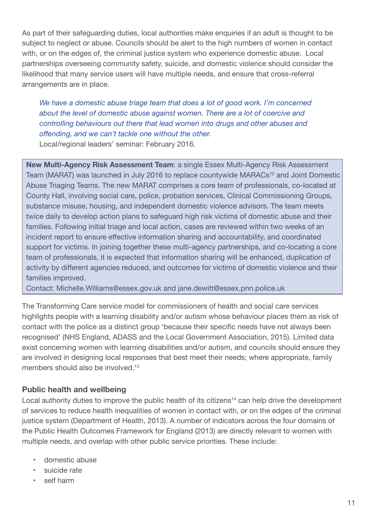As part of their safeguarding duties, local authorities make enquiries if an adult is thought to be subject to neglect or abuse. Councils should be alert to the high numbers of women in contact with, or on the edges of, the criminal justice system who experience domestic abuse. Local partnerships overseeing community safety, suicide, and domestic violence should consider the likelihood that many service users will have multiple needs, and ensure that cross-referral arrangements are in place.

*We have a domestic abuse triage team that does a lot of good work. I'm concerned about the level of domestic abuse against women. There are a lot of coercive and controlling behaviours out there that lead women into drugs and other abuses and offending, and we can't tackle one without the other.* Local/regional leaders' seminar: February 2016.

**New Multi-Agency Risk Assessment Team**: a single Essex Multi-Agency Risk Assessment Team (MARAT) was launched in July 2016 to replace countywide MARACs<sup>12</sup> and Joint Domestic Abuse Triaging Teams. The new MARAT comprises a core team of professionals, co-located at County Hall, involving social care, police, probation services, Clinical Commissioning Groups, substance misuse, housing, and independent domestic violence advisors. The team meets twice daily to develop action plans to safeguard high risk victims of domestic abuse and their families. Following initial triage and local action, cases are reviewed within two weeks of an incident report to ensure effective information sharing and accountability, and coordinated support for victims. In joining together these multi-agency partnerships, and co-locating a core team of professionals, it is expected that information sharing will be enhanced, duplication of activity by different agencies reduced, and outcomes for victims of domestic violence and their families improved.

Contact: Michelle.Williams@essex.gov.uk and jane.dewitt@essex.pnn.police.uk

The Transforming Care service model for commissioners of health and social care services highlights people with a learning disability and/or autism whose behaviour places them as risk of contact with the police as a distinct group 'because their specific needs have not always been recognised' (NHS England, ADASS and the Local Government Association, 2015). Limited data exist concerning women with learning disabilities and/or autism, and councils should ensure they are involved in designing local responses that best meet their needs; where appropriate, family members should also be involved. 13

### **Public health and wellbeing**

Local authority duties to improve the public health of its citizens<sup>14</sup> can help drive the development of services to reduce health inequalities of women in contact with, or on the edges of the criminal justice system (Department of Health, 2013). A number of indicators across the four domains of the Public Health Outcomes Framework for England (2013) are directly relevant to women with multiple needs, and overlap with other public service priorities. These include:

- domestic abuse
- suicide rate
- self harm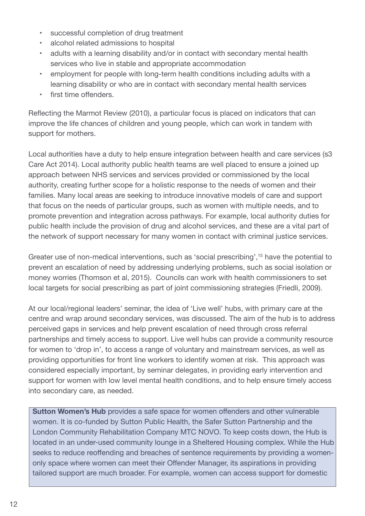- successful completion of drug treatment
- alcohol related admissions to hospital
- adults with a learning disability and/or in contact with secondary mental health services who live in stable and appropriate accommodation
- employment for people with long-term health conditions including adults with a learning disability or who are in contact with secondary mental health services
- first time offenders.

Reflecting the Marmot Review (2010), a particular focus is placed on indicators that can improve the life chances of children and young people, which can work in tandem with support for mothers.

Local authorities have a duty to help ensure integration between health and care services (s3 Care Act 2014). Local authority public health teams are well placed to ensure a joined up approach between NHS services and services provided or commissioned by the local authority, creating further scope for a holistic response to the needs of women and their families. Many local areas are seeking to introduce innovative models of care and support that focus on the needs of particular groups, such as women with multiple needs, and to promote prevention and integration across pathways. For example, local authority duties for public health include the provision of drug and alcohol services, and these are a vital part of the network of support necessary for many women in contact with criminal justice services.

Greater use of non-medical interventions, such as 'social prescribing', <sup>15</sup> have the potential to prevent an escalation of need by addressing underlying problems, such as social isolation or money worries (Thomson et al, 2015). Councils can work with health commissioners to set local targets for social prescribing as part of joint commissioning strategies (Friedli, 2009).

At our local/regional leaders' seminar, the idea of 'Live well' hubs, with primary care at the centre and wrap around secondary services, was discussed. The aim of the hub is to address perceived gaps in services and help prevent escalation of need through cross referral partnerships and timely access to support. Live well hubs can provide a community resource for women to 'drop in', to access a range of voluntary and mainstream services, as well as providing opportunities for front line workers to identify women at risk. This approach was considered especially important, by seminar delegates, in providing early intervention and support for women with low level mental health conditions, and to help ensure timely access into secondary care, as needed.

**Sutton Women's Hub** provides a safe space for women offenders and other vulnerable women. It is co-funded by Sutton Public Health, the Safer Sutton Partnership and the London Community Rehabilitation Company MTC NOVO. To keep costs down, the Hub is located in an under-used community lounge in a Sheltered Housing complex. While the Hub seeks to reduce reoffending and breaches of sentence requirements by providing a womenonly space where women can meet their Offender Manager, its aspirations in providing tailored support are much broader. For example, women can access support for domestic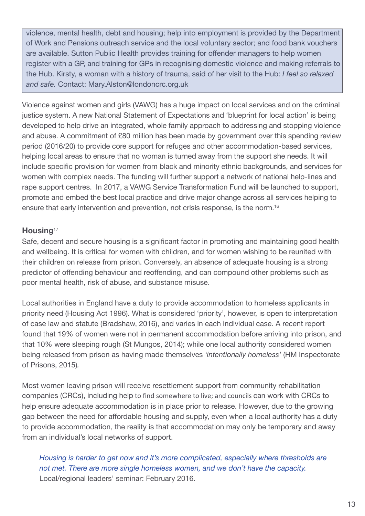violence, mental health, debt and housing; help into employment is provided by the Department of Work and Pensions outreach service and the local voluntary sector; and food bank vouchers are available. Sutton Public Health provides training for offender managers to help women register with a GP, and training for GPs in recognising domestic violence and making referrals to the Hub. Kirsty, a woman with a history of trauma, said of her visit to the Hub: *I feel so relaxed and safe.* Contact: Mary.Alston@londoncrc.org.uk

Violence against women and girls (VAWG) has a huge impact on local services and on the criminal justice system. A new National Statement of Expectations and 'blueprint for local action' is being developed to help drive an integrated, whole family approach to addressing and stopping violence and abuse. A commitment of £80 million has been made by government over this spending review period (2016/20) to provide core support for refuges and other accommodation-based services, helping local areas to ensure that no woman is turned away from the support she needs. It will include specific provision for women from black and minority ethnic backgrounds, and services for women with complex needs. The funding will further support a network of national help-lines and rape support centres. In 2017, a VAWG Service Transformation Fund will be launched to support, promote and embed the best local practice and drive major change across all services helping to ensure that early intervention and prevention, not crisis response, is the norm. 16

#### **Housing**<sup>17</sup>

Safe, decent and secure housing is a significant factor in promoting and maintaining good health and wellbeing. It is critical for women with children, and for women wishing to be reunited with their children on release from prison. Conversely, an absence of adequate housing is a strong predictor of offending behaviour and reoffending, and can compound other problems such as poor mental health, risk of abuse, and substance misuse.

Local authorities in England have a duty to provide accommodation to homeless applicants in priority need (Housing Act 1996). What is considered 'priority', however, is open to interpretation of case law and statute (Bradshaw, 2016), and varies in each individual case. A recent report found that 19% of women were not in permanent accommodation before arriving into prison, and that 10% were sleeping rough (St Mungos, 2014); while one local authority considered women being released from prison as having made themselves *'intentionally homeless'* (HM Inspectorate of Prisons, 2015)*.*

Most women leaving prison will receive resettlement support from community rehabilitation companies (CRCs), including help to find somewhere to live; and councils can work with CRCs to help ensure adequate accommodation is in place prior to release. However, due to the growing gap between the need for affordable housing and supply, even when a local authority has a duty to provide accommodation, the reality is that accommodation may only be temporary and away from an individual's local networks of support.

*Housing is harder to get now and it's more complicated, especially where thresholds are not met. There are more single homeless women, and we don't have the capacity.* Local/regional leaders' seminar: February 2016.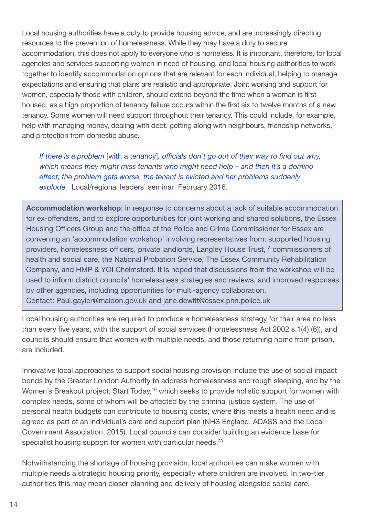Local housing authorities have a duty to provide housing advice, and are increasingly directing resources to the prevention of homelessness. While they may have a duty to secure accommodation, this does not apply to everyone who is homeless. It is important, therefore, for local agencies and services supporting women in need of housing, and local housing authorities to work together to identify accommodation options that are relevant for each individual, helping to manage expectations and ensuring that plans are realistic and appropriate. Joint working and support for women, especially those with children, should extend beyond the time when a woman is first housed, as a high proportion of tenancy failure occurs within the first six to twelve months of a new tenancy. Some women will need support throughout their tenancy. This could include, for example, help with managing money, dealing with debt, getting along with neighbours, friendship networks, and protection from domestic abuse.

*If there is a problem* [with a tenancy]*, officials don't go out of their way to find out why, which means they might miss tenants who might need help – and then it's a domino effect; the problem gets worse, the tenant is evicted and her problems suddenly explode.* Local/regional leaders' seminar: February 2016.

**Accommodation workshop**: in response to concerns about a lack of suitable accommodation for ex-offenders, and to explore opportunities for joint working and shared solutions, the Essex Housing Officers Group and the office of the Police and Crime Commissioner for Essex are convening an 'accommodation workshop' involving representatives from: supported housing providers, homelessness officers, private landlords, Langley House Trust, <sup>18</sup> commissioners of health and social care, the National Probation Service, The Essex Community Rehabilitation Company, and HMP & YOI Chelmsford. It is hoped that discussions from the workshop will be used to inform district councils' homelessness strategies and reviews, and improved responses by other agencies, including opportunities for multi-agency collaboration. Contact: Paul.gayler@maldon.gov.uk and jane.dewitt@essex.pnn.police.uk

Local housing authorities are required to produce a homelessness strategy for their area no less than every five years, with the support of social services (Homelessness Act 2002 s.1(4) (6)), and councils should ensure that women with multiple needs, and those returning home from prison, are included.

Innovative local approaches to support social housing provision include the use of social impact bonds by the Greater London Authority to address homelessness and rough sleeping, and by the Women's Breakout project, Start Today,<sup>19</sup> which seeks to provide holistic support for women with complex needs, some of whom will be affected by the criminal justice system. The use of personal health budgets can contribute to housing costs, where this meets a health need and is agreed as part of an individual's care and support plan (NHS England, ADASS and the Local Government Association, 2015). Local councils can consider building an evidence base for specialist housing support for women with particular needs.<sup>20</sup>

Notwithstanding the shortage of housing provision, local authorities can make women with multiple needs a strategic housing priority, especially where children are involved. In two-tier authorities this may mean closer planning and delivery of housing alongside social care.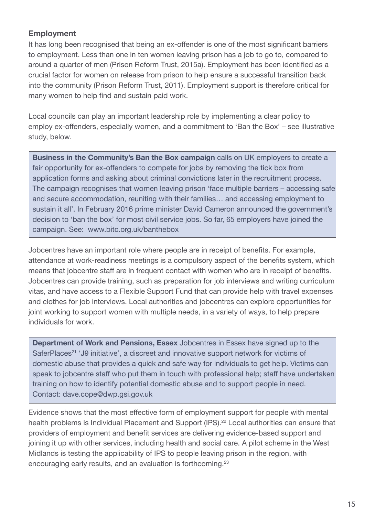### **Employment**

It has long been recognised that being an ex-offender is one of the most significant barriers to employment. Less than one in ten women leaving prison has a job to go to, compared to around a quarter of men (Prison Reform Trust, 2015a). Employment has been identified as a crucial factor for women on release from prison to help ensure a successful transition back into the community (Prison Reform Trust, 2011). Employment support is therefore critical for many women to help find and sustain paid work.

Local councils can play an important leadership role by implementing a clear policy to employ ex-offenders, especially women, and a commitment to 'Ban the Box' – see illustrative study, below.

**Business in the Community's Ban the Box campaign** calls on UK employers to create a fair opportunity for ex-offenders to compete for jobs by removing the tick box from application forms and asking about criminal convictions later in the recruitment process. The campaign recognises that women leaving prison 'face multiple barriers – accessing safe and secure accommodation, reuniting with their families… and accessing employment to sustain it all'. In February 2016 prime minister David Cameron announced the government's decision to 'ban the box' for most civil service jobs. So far, 65 employers have joined the campaign. See: www.bitc.org.uk/banthebox

Jobcentres have an important role where people are in receipt of benefits. For example, attendance at work-readiness meetings is a compulsory aspect of the benefits system, which means that jobcentre staff are in frequent contact with women who are in receipt of benefits. Jobcentres can provide training, such as preparation for job interviews and writing curriculum vitas, and have access to a Flexible Support Fund that can provide help with travel expenses and clothes for job interviews. Local authorities and jobcentres can explore opportunities for joint working to support women with multiple needs, in a variety of ways, to help prepare individuals for work.

**Department of Work and Pensions, Essex** Jobcentres in Essex have signed up to the SaferPlaces<sup>21</sup> 'J9 initiative', a discreet and innovative support network for victims of domestic abuse that provides a quick and safe way for individuals to get help. Victims can speak to jobcentre staff who put them in touch with professional help; staff have undertaken training on how to identify potential domestic abuse and to support people in need. Contact: dave.cope@dwp.gsi.gov.uk

Evidence shows that the most effective form of employment support for people with mental health problems is Individual Placement and Support (IPS).<sup>22</sup> Local authorities can ensure that providers of employment and benefit services are delivering evidence-based support and joining it up with other services, including health and social care. A pilot scheme in the West Midlands is testing the applicability of IPS to people leaving prison in the region, with encouraging early results, and an evaluation is forthcoming.<sup>23</sup>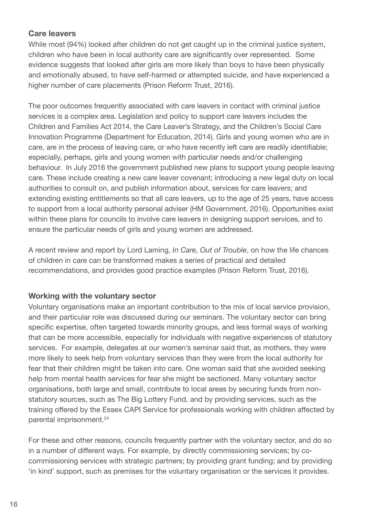#### **Care leavers**

While most (94%) looked after children do not get caught up in the criminal justice system, children who have been in local authority care are significantly over represented. Some evidence suggests that looked after girls are more likely than boys to have been physically and emotionally abused, to have self-harmed or attempted suicide, and have experienced a higher number of care placements (Prison Reform Trust, 2016).

The poor outcomes frequently associated with care leavers in contact with criminal justice services is a complex area. Legislation and policy to support care leavers includes the Children and Families Act 2014, the Care Leaver's Strategy, and the Children's Social Care Innovation Programme (Department for Education, 2014). Girls and young women who are in care, are in the process of leaving care, or who have recently left care are readily identifiable; especially, perhaps, girls and young women with particular needs and/or challenging behaviour. In July 2016 the government published new plans to support young people leaving care. These include creating a new care leaver covenant; introducing a new legal duty on local authorities to consult on, and publish information about, services for care leavers; and extending existing entitlements so that all care leavers, up to the age of 25 years, have access to support from a local authority personal adviser (HM Government, 2016). Opportunities exist within these plans for councils to involve care leavers in designing support services, and to ensure the particular needs of girls and young women are addressed.

A recent review and report by Lord Laming, *In Care, Out of Trouble*, on how the life chances of children in care can be transformed makes a series of practical and detailed recommendations, and provides good practice examples (Prison Reform Trust, 2016).

### **Working with the voluntary sector**

Voluntary organisations make an important contribution to the mix of local service provision, and their particular role was discussed during our seminars. The voluntary sector can bring specific expertise, often targeted towards minority groups, and less formal ways of working that can be more accessible, especially for individuals with negative experiences of statutory services. For example, delegates at our women's seminar said that, as mothers, they were more likely to seek help from voluntary services than they were from the local authority for fear that their children might be taken into care. One woman said that she avoided seeking help from mental health services for fear she might be sectioned. Many voluntary sector organisations, both large and small, contribute to local areas by securing funds from nonstatutory sources, such as The Big Lottery Fund, and by providing services, such as the training offered by the Essex CAPI Service for professionals working with children affected by parental imprisonment. 24

For these and other reasons, councils frequently partner with the voluntary sector, and do so in a number of different ways. For example, by directly commissioning services; by cocommissioning services with strategic partners; by providing grant funding; and by providing 'in kind' support, such as premises for the voluntary organisation or the services it provides.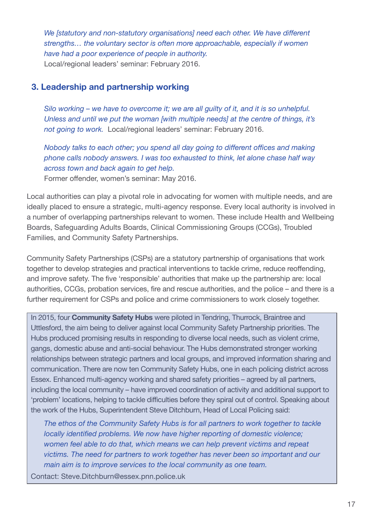*We [statutory and non-statutory organisations] need each other. We have different strengths… the voluntary sector is often more approachable, especially if women have had a poor experience of people in authority.* Local/regional leaders' seminar: February 2016.

#### **3. Leadership and partnership working**

*Silo working – we have to overcome it; we are all guilty of it, and it is so unhelpful. Unless and until we put the woman [with multiple needs] at the centre of things, it's not going to work.* Local/regional leaders' seminar: February 2016.

*Nobody talks to each other; you spend all day going to different offices and making phone calls nobody answers. I was too exhausted to think, let alone chase half way across town and back again to get help.* Former offender, women's seminar: May 2016.

Local authorities can play a pivotal role in advocating for women with multiple needs, and are ideally placed to ensure a strategic, multi-agency response. Every local authority is involved in a number of overlapping partnerships relevant to women. These include Health and Wellbeing Boards, Safeguarding Adults Boards, Clinical Commissioning Groups (CCGs), Troubled Families, and Community Safety Partnerships.

Community Safety Partnerships (CSPs) are a statutory partnership of organisations that work together to develop strategies and practical interventions to tackle crime, reduce reoffending, and improve safety. The five 'responsible' authorities that make up the partnership are: local authorities, CCGs, probation services, fire and rescue authorities, and the police – and there is a further requirement for CSPs and police and crime commissioners to work closely together.

In 2015, four **Community Safety Hubs** were piloted in Tendring, Thurrock, Braintree and Uttlesford, the aim being to deliver against local Community Safety Partnership priorities. The Hubs produced promising results in responding to diverse local needs, such as violent crime, gangs, domestic abuse and anti-social behaviour. The Hubs demonstrated stronger working relationships between strategic partners and local groups, and improved information sharing and communication. There are now ten Community Safety Hubs, one in each policing district across Essex. Enhanced multi-agency working and shared safety priorities – agreed by all partners, including the local community – have improved coordination of activity and additional support to 'problem' locations, helping to tackle difficulties before they spiral out of control. Speaking about the work of the Hubs, Superintendent Steve Ditchburn, Head of Local Policing said:

*The ethos of the Community Safety Hubs is for all partners to work together to tackle locally identified problems. We now have higher reporting of domestic violence; women feel able to do that, which means we can help prevent victims and repeat victims. The need for partners to work together has never been so important and our main aim is to improve services to the local community as one team.*

Contact: Steve.Ditchburn@essex.pnn.police.uk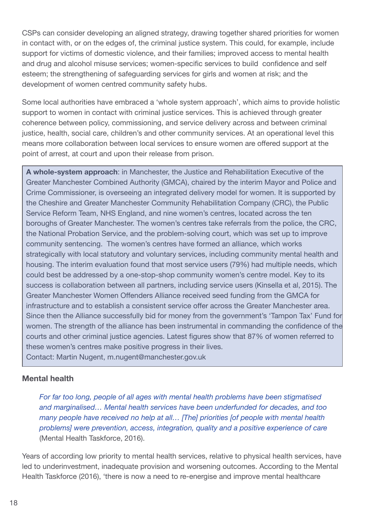CSPs can consider developing an aligned strategy, drawing together shared priorities for women in contact with, or on the edges of, the criminal justice system. This could, for example, include support for victims of domestic violence, and their families; improved access to mental health and drug and alcohol misuse services; women-specific services to build confidence and self esteem; the strengthening of safeguarding services for girls and women at risk; and the development of women centred community safety hubs.

Some local authorities have embraced a 'whole system approach', which aims to provide holistic support to women in contact with criminal justice services. This is achieved through greater coherence between policy, commissioning, and service delivery across and between criminal justice, health, social care, children's and other community services. At an operational level this means more collaboration between local services to ensure women are offered support at the point of arrest, at court and upon their release from prison.

**A whole-system approach**: in Manchester, the Justice and Rehabilitation Executive of the Greater Manchester Combined Authority (GMCA), chaired by the interim Mayor and Police and Crime Commissioner, is overseeing an integrated delivery model for women. It is supported by the Cheshire and Greater Manchester Community Rehabilitation Company (CRC), the Public Service Reform Team, NHS England, and nine women's centres, located across the ten boroughs of Greater Manchester. The women's centres take referrals from the police, the CRC, the National Probation Service, and the problem-solving court, which was set up to improve community sentencing. The women's centres have formed an alliance, which works strategically with local statutory and voluntary services, including community mental health and housing. The interim evaluation found that most service users (79%) had multiple needs, which could best be addressed by a one-stop-shop community women's centre model. Key to its success is collaboration between all partners, including service users (Kinsella et al, 2015). The Greater Manchester Women Offenders Alliance received seed funding from the GMCA for infrastructure and to establish a consistent service offer across the Greater Manchester area. Since then the Alliance successfully bid for money from the government's 'Tampon Tax' Fund for women. The strength of the alliance has been instrumental in commanding the confidence of the courts and other criminal justice agencies. Latest figures show that 87% of women referred to these women's centres make positive progress in their lives.

Contact: Martin Nugent, m.nugent@manchester.gov.uk

#### **Mental health**

*For far too long, people of all ages with mental health problems have been stigmatised and marginalised… Mental health services have been underfunded for decades, and too many people have received no help at all… [The] priorities [of people with mental health problems] were prevention, access, integration, quality and a positive experience of care* (Mental Health Taskforce, 2016).

Years of according low priority to mental health services, relative to physical health services, have led to underinvestment, inadequate provision and worsening outcomes. According to the Mental Health Taskforce (2016), 'there is now a need to re-energise and improve mental healthcare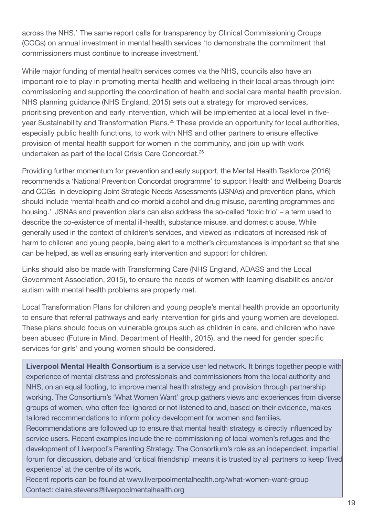across the NHS.' The same report calls for transparency by Clinical Commissioning Groups (CCGs) on annual investment in mental health services 'to demonstrate the commitment that commissioners must continue to increase investment.'

While major funding of mental health services comes via the NHS, councils also have an important role to play in promoting mental health and wellbeing in their local areas through joint commissioning and supporting the coordination of health and social care mental health provision. NHS planning guidance (NHS England, 2015) sets out a strategy for improved services, prioritising prevention and early intervention, which will be implemented at a local level in fiveyear Sustainability and Transformation Plans. <sup>25</sup> These provide an opportunity for local authorities, especially public health functions, to work with NHS and other partners to ensure effective provision of mental health support for women in the community, and join up with work undertaken as part of the local Crisis Care Concordat. 26

Providing further momentum for prevention and early support, the Mental Health Taskforce (2016) recommends a 'National Prevention Concordat programme' to support Health and Wellbeing Boards and CCGs in developing Joint Strategic Needs Assessments (JSNAs) and prevention plans, which should include 'mental health and co-morbid alcohol and drug misuse, parenting programmes and housing.' JSNAs and prevention plans can also address the so-called 'toxic trio' – a term used to describe the co-existence of mental ill-health, substance misuse, and domestic abuse. While generally used in the context of children's services, and viewed as indicators of increased risk of harm to children and young people, being alert to a mother's circumstances is important so that she can be helped, as well as ensuring early intervention and support for children.

Links should also be made with Transforming Care (NHS England, ADASS and the Local Government Association, 2015), to ensure the needs of women with learning disabilities and/or autism with mental health problems are properly met.

Local Transformation Plans for children and young people's mental health provide an opportunity to ensure that referral pathways and early intervention for girls and young women are developed. These plans should focus on vulnerable groups such as children in care, and children who have been abused (Future in Mind, Department of Health, 2015), and the need for gender specific services for girls' and young women should be considered.

**Liverpool Mental Health Consortium** is a service user led network. It brings together people with experience of mental distress and professionals and commissioners from the local authority and NHS, on an equal footing, to improve mental health strategy and provision through partnership working. The Consortium's 'What Women Want' group gathers views and experiences from diverse groups of women, who often feel ignored or not listened to and, based on their evidence, makes tailored recommendations to inform policy development for women and families.

Recommendations are followed up to ensure that mental health strategy is directly influenced by service users. Recent examples include the re-commissioning of local women's refuges and the development of Liverpool's Parenting Strategy. The Consortium's role as an independent, impartial forum for discussion, debate and 'critical friendship' means it is trusted by all partners to keep 'lived experience' at the centre of its work.

Recent reports can be found at www.liverpoolmentalhealth.org/what-women-want-group Contact: claire.stevens@liverpoolmentalhealth.org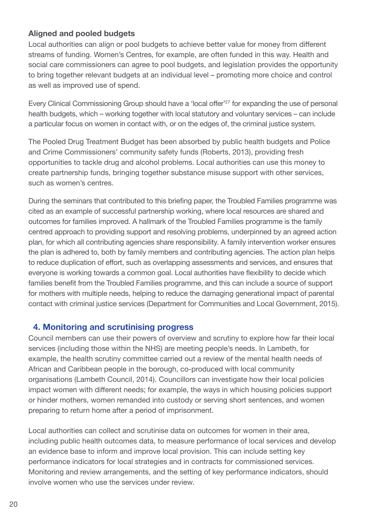#### **Aligned and pooled budgets**

Local authorities can align or pool budgets to achieve better value for money from different streams of funding. Women's Centres, for example, are often funded in this way. Health and social care commissioners can agree to pool budgets, and legislation provides the opportunity to bring together relevant budgets at an individual level – promoting more choice and control as well as improved use of spend.

Every Clinical Commissioning Group should have a 'local offer' <sup>27</sup> for expanding the use of personal health budgets, which – working together with local statutory and voluntary services – can include a particular focus on women in contact with, or on the edges of, the criminal justice system.

The Pooled Drug Treatment Budget has been absorbed by public health budgets and Police and Crime Commissioners' community safety funds (Roberts, 2013), providing fresh opportunities to tackle drug and alcohol problems. Local authorities can use this money to create partnership funds, bringing together substance misuse support with other services, such as women's centres.

During the seminars that contributed to this briefing paper, the Troubled Families programme was cited as an example of successful partnership working, where local resources are shared and outcomes for families improved. A hallmark of the Troubled Families programme is the family centred approach to providing support and resolving problems, underpinned by an agreed action plan, for which all contributing agencies share responsibility. A family intervention worker ensures the plan is adhered to, both by family members and contributing agencies. The action plan helps to reduce duplication of effort, such as overlapping assessments and services, and ensures that everyone is working towards a common goal. Local authorities have flexibility to decide which families benefit from the Troubled Families programme, and this can include a source of support for mothers with multiple needs, helping to reduce the damaging generational impact of parental contact with criminal justice services (Department for Communities and Local Government, 2015).

### **4. Monitoring and scrutinising progress**

Council members can use their powers of overview and scrutiny to explore how far their local services (including those within the NHS) are meeting people's needs. In Lambeth, for example, the health scrutiny committee carried out a review of the mental health needs of African and Caribbean people in the borough, co-produced with local community organisations (Lambeth Council, 2014). Councillors can investigate how their local policies impact women with different needs; for example, the ways in which housing policies support or hinder mothers, women remanded into custody or serving short sentences, and women preparing to return home after a period of imprisonment.

Local authorities can collect and scrutinise data on outcomes for women in their area, including public health outcomes data, to measure performance of local services and develop an evidence base to inform and improve local provision. This can include setting key performance indicators for local strategies and in contracts for commissioned services. Monitoring and review arrangements, and the setting of key performance indicators, should involve women who use the services under review.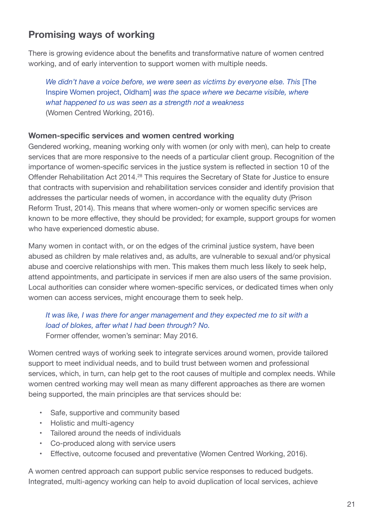## **Promising ways of working**

There is growing evidence about the benefits and transformative nature of women centred working, and of early intervention to support women with multiple needs.

*We didn't have a voice before, we were seen as victims by everyone else. This* [The Inspire Women project, Oldham] *was the space where we became visible, where what happened to us was seen as a strength not a weakness* (Women Centred Working, 2016).

#### **Women-specific services and women centred working**

Gendered working, meaning working only with women (or only with men), can help to create services that are more responsive to the needs of a particular client group. Recognition of the importance of women-specific services in the justice system is reflected in section 10 of the Offender Rehabilitation Act 2014.<sup>28</sup> This requires the Secretary of State for Justice to ensure that contracts with supervision and rehabilitation services consider and identify provision that addresses the particular needs of women, in accordance with the equality duty (Prison Reform Trust, 2014). This means that where women-only or women specific services are known to be more effective, they should be provided; for example, support groups for women who have experienced domestic abuse.

Many women in contact with, or on the edges of the criminal justice system, have been abused as children by male relatives and, as adults, are vulnerable to sexual and/or physical abuse and coercive relationships with men. This makes them much less likely to seek help, attend appointments, and participate in services if men are also users of the same provision. Local authorities can consider where women-specific services, or dedicated times when only women can access services, might encourage them to seek help.

### *It was like, I was there for anger management and they expected me to sit with a load of blokes, after what I had been through? No.*

Former offender, women's seminar: May 2016.

Women centred ways of working seek to integrate services around women, provide tailored support to meet individual needs, and to build trust between women and professional services, which, in turn, can help get to the root causes of multiple and complex needs. While women centred working may well mean as many different approaches as there are women being supported, the main principles are that services should be:

- Safe, supportive and community based
- Holistic and multi-agency
- Tailored around the needs of individuals
- Co-produced along with service users
- Effective, outcome focused and preventative (Women Centred Working, 2016).

A women centred approach can support public service responses to reduced budgets. Integrated, multi-agency working can help to avoid duplication of local services, achieve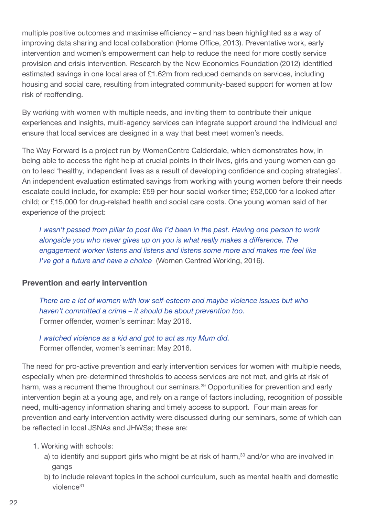multiple positive outcomes and maximise efficiency – and has been highlighted as a way of improving data sharing and local collaboration (Home Office, 2013). Preventative work, early intervention and women's empowerment can help to reduce the need for more costly service provision and crisis intervention. Research by the New Economics Foundation (2012) identified estimated savings in one local area of £1.62m from reduced demands on services, including housing and social care, resulting from integrated community-based support for women at low risk of reoffending.

By working with women with multiple needs, and inviting them to contribute their unique experiences and insights, multi-agency services can integrate support around the individual and ensure that local services are designed in a way that best meet women's needs.

The Way Forward is a project run by WomenCentre Calderdale, which demonstrates how, in being able to access the right help at crucial points in their lives, girls and young women can go on to lead 'healthy, independent lives as a result of developing confidence and coping strategies'. An independent evaluation estimated savings from working with young women before their needs escalate could include, for example: £59 per hour social worker time; £52,000 for a looked after child; or £15,000 for drug-related health and social care costs. One young woman said of her experience of the project:

*I wasn't passed from pillar to post like I'd been in the past. Having one person to work alongside you who never gives up on you is what really makes a difference. The engagement worker listens and listens and listens some more and makes me feel like I've got a future and have a choice* (Women Centred Working, 2016).

#### **Prevention and early intervention**

*There are a lot of women with low self-esteem and maybe violence issues but who haven't committed a crime – it should be about prevention too.* Former offender, women's seminar: May 2016.

*I watched violence as a kid and got to act as my Mum did.* Former offender, women's seminar: May 2016.

The need for pro-active prevention and early intervention services for women with multiple needs, especially when pre-determined thresholds to access services are not met, and girls at risk of harm, was a recurrent theme throughout our seminars.<sup>29</sup> Opportunities for prevention and early intervention begin at a young age, and rely on a range of factors including, recognition of possible need, multi-agency information sharing and timely access to support. Four main areas for prevention and early intervention activity were discussed during our seminars, some of which can be reflected in local JSNAs and JHWSs; these are:

- 1. Working with schools:
	- a) to identify and support girls who might be at risk of harm,<sup>30</sup> and/or who are involved in gangs
	- b) to include relevant topics in the school curriculum, such as mental health and domestic violence31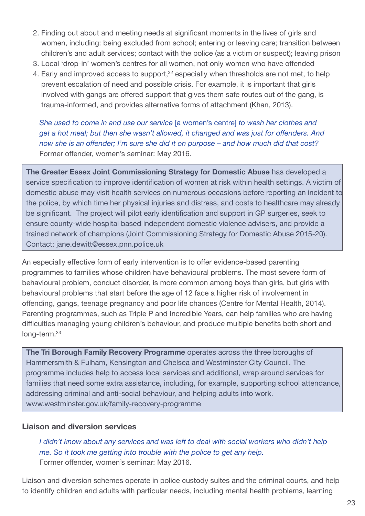- 2. Finding out about and meeting needs at significant moments in the lives of girls and women, including: being excluded from school; entering or leaving care; transition between children's and adult services; contact with the police (as a victim or suspect); leaving prison
- 3. Local 'drop-in' women's centres for all women, not only women who have offended
- 4. Early and improved access to support,<sup>32</sup> especially when thresholds are not met, to help prevent escalation of need and possible crisis. For example, it is important that girls involved with gangs are offered support that gives them safe routes out of the gang, is trauma-informed, and provides alternative forms of attachment (Khan, 2013).

*She used to come in and use our service* [a women's centre] *to wash her clothes and get a hot meal; but then she wasn't allowed, it changed and was just for offenders. And now she is an offender; I'm sure she did it on purpose – and how much did that cost?* Former offender, women's seminar: May 2016.

**The Greater Essex Joint Commissioning Strategy for Domestic Abuse** has developed a service specification to improve identification of women at risk within health settings. A victim of domestic abuse may visit health services on numerous occasions before reporting an incident to the police, by which time her physical injuries and distress, and costs to healthcare may already be significant. The project will pilot early identification and support in GP surgeries, seek to ensure county-wide hospital based independent domestic violence advisers, and provide a trained network of champions (Joint Commissioning Strategy for Domestic Abuse 2015-20). Contact: jane.dewitt@essex.pnn.police.uk

An especially effective form of early intervention is to offer evidence-based parenting programmes to families whose children have behavioural problems. The most severe form of behavioural problem, conduct disorder, is more common among boys than girls, but girls with behavioural problems that start before the age of 12 face a higher risk of involvement in offending, gangs, teenage pregnancy and poor life chances (Centre for Mental Health, 2014). Parenting programmes, such as Triple P and Incredible Years, can help families who are having difficulties managing young children's behaviour, and produce multiple benefits both short and long-term. 33

**The Tri Borough Family Recovery Programme** operates across the three boroughs of Hammersmith & Fulham, Kensington and Chelsea and Westminster City Council. The programme includes help to access local services and additional, wrap around services for families that need some extra assistance, including, for example, supporting school attendance, addressing criminal and anti-social behaviour, and helping adults into work. www.westminster.gov.uk/family-recovery-programme

#### **Liaison and diversion services**

*I didn't know about any services and was left to deal with social workers who didn't help me. So it took me getting into trouble with the police to get any help.* Former offender, women's seminar: May 2016.

Liaison and diversion schemes operate in police custody suites and the criminal courts, and help to identify children and adults with particular needs, including mental health problems, learning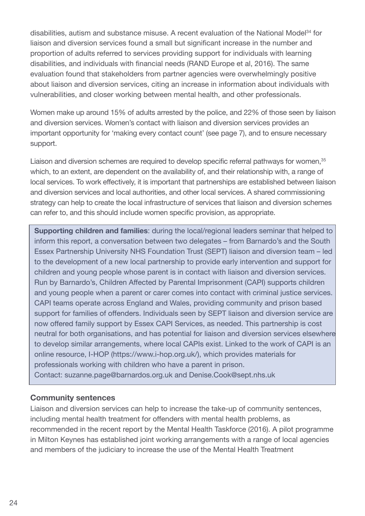disabilities, autism and substance misuse. A recent evaluation of the National Model<sup>34</sup> for liaison and diversion services found a small but significant increase in the number and proportion of adults referred to services providing support for individuals with learning disabilities, and individuals with financial needs (RAND Europe et al, 2016). The same evaluation found that stakeholders from partner agencies were overwhelmingly positive about liaison and diversion services, citing an increase in information about individuals with vulnerabilities, and closer working between mental health, and other professionals.

Women make up around 15% of adults arrested by the police, and 22% of those seen by liaison and diversion services. Women's contact with liaison and diversion services provides an important opportunity for 'making every contact count' (see page 7), and to ensure necessary support.

Liaison and diversion schemes are required to develop specific referral pathways for women,<sup>35</sup> which, to an extent, are dependent on the availability of, and their relationship with, a range of local services. To work effectively, it is important that partnerships are established between liaison and diversion services and local authorities, and other local services. A shared commissioning strategy can help to create the local infrastructure of services that liaison and diversion schemes can refer to, and this should include women specific provision, as appropriate.

**Supporting children and families**: during the local/regional leaders seminar that helped to inform this report, a conversation between two delegates – from Barnardo's and the South Essex Partnership University NHS Foundation Trust (SEPT) liaison and diversion team – led to the development of a new local partnership to provide early intervention and support for children and young people whose parent is in contact with liaison and diversion services. Run by Barnardo's, Children Affected by Parental Imprisonment (CAPI) supports children and young people when a parent or carer comes into contact with criminal justice services. CAPI teams operate across England and Wales, providing community and prison based support for families of offenders. Individuals seen by SEPT liaison and diversion service are now offered family support by Essex CAPI Services, as needed. This partnership is cost neutral for both organisations, and has potential for liaison and diversion services elsewhere to develop similar arrangements, where local CAPIs exist. Linked to the work of CAPI is an online resource, I-HOP (https://www.i-hop.org.uk/), which provides materials for professionals working with children who have a parent in prison. Contact: suzanne.page@barnardos.org.uk and Denise.Cook@sept.nhs.uk

#### **Community sentences**

Liaison and diversion services can help to increase the take-up of community sentences, including mental health treatment for offenders with mental health problems, as recommended in the recent report by the Mental Health Taskforce (2016). A pilot programme in Milton Keynes has established joint working arrangements with a range of local agencies and members of the judiciary to increase the use of the Mental Health Treatment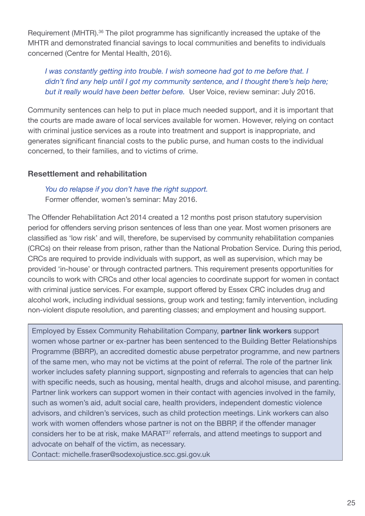Requirement (MHTR).<sup>36</sup> The pilot programme has significantly increased the uptake of the MHTR and demonstrated financial savings to local communities and benefits to individuals concerned (Centre for Mental Health, 2016).

*I was constantly getting into trouble. I wish someone had got to me before that. I didn't find any help until I got my community sentence, and I thought there's help here; but it really would have been better before.* User Voice, review seminar: July 2016.

Community sentences can help to put in place much needed support, and it is important that the courts are made aware of local services available for women. However, relying on contact with criminal justice services as a route into treatment and support is inappropriate, and generates significant financial costs to the public purse, and human costs to the individual concerned, to their families, and to victims of crime.

#### **Resettlement and rehabilitation**

*You do relapse if you don't have the right support.*

Former offender, women's seminar: May 2016.

The Offender Rehabilitation Act 2014 created a 12 months post prison statutory supervision period for offenders serving prison sentences of less than one year. Most women prisoners are classified as 'low risk' and will, therefore, be supervised by community rehabilitation companies (CRCs) on their release from prison, rather than the National Probation Service. During this period, CRCs are required to provide individuals with support, as well as supervision, which may be provided 'in-house' or through contracted partners. This requirement presents opportunities for councils to work with CRCs and other local agencies to coordinate support for women in contact with criminal justice services. For example, support offered by Essex CRC includes drug and alcohol work, including individual sessions, group work and testing; family intervention, including non-violent dispute resolution, and parenting classes; and employment and housing support.

Employed by Essex Community Rehabilitation Company, **partner link workers** support women whose partner or ex-partner has been sentenced to the Building Better Relationships Programme (BBRP), an accredited domestic abuse perpetrator programme, and new partners of the same men, who may not be victims at the point of referral. The role of the partner link worker includes safety planning support, signposting and referrals to agencies that can help with specific needs, such as housing, mental health, drugs and alcohol misuse, and parenting. Partner link workers can support women in their contact with agencies involved in the family, such as women's aid, adult social care, health providers, independent domestic violence advisors, and children's services, such as child protection meetings. Link workers can also work with women offenders whose partner is not on the BBRP, if the offender manager considers her to be at risk, make MARAT<sup>37</sup> referrals, and attend meetings to support and advocate on behalf of the victim, as necessary.

Contact: michelle.fraser@sodexojustice.scc.gsi.gov.uk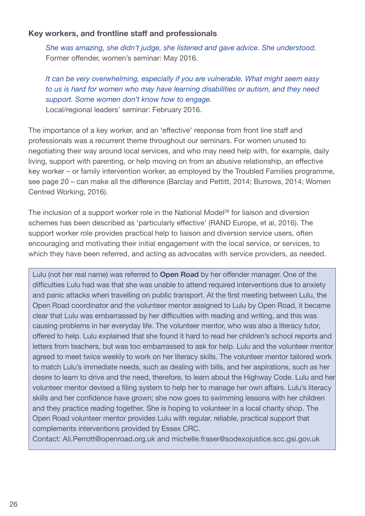#### **Key workers, and frontline staff and professionals**

*She was amazing, she didn't judge, she listened and gave advice. She understood.* Former offender, women's seminar: May 2016.

### *It can be very overwhelming, especially if you are vulnerable. What might seem easy to us is hard for women who may have learning disabilities or autism, and they need support. Some women don't know how to engage.*

Local/regional leaders' seminar: February 2016.

The importance of a key worker, and an 'effective' response from front line staff and professionals was a recurrent theme throughout our seminars. For women unused to negotiating their way around local services, and who may need help with, for example, daily living, support with parenting, or help moving on from an abusive relationship, an effective key worker – or family intervention worker, as employed by the Troubled Families programme, see page 20 – can make all the difference (Barclay and Pettitt, 2014; Burrows, 2014; Women Centred Working, 2016).

The inclusion of a support worker role in the National Model<sup>38</sup> for liaison and diversion schemes has been described as 'particularly effective' (RAND Europe, et al, 2016). The support worker role provides practical help to liaison and diversion service users, often encouraging and motivating their initial engagement with the local service, or services, to which they have been referred, and acting as advocates with service providers, as needed.

Lulu (not her real name) was referred to **Open Road** by her offender manager. One of the difficulties Lulu had was that she was unable to attend required interventions due to anxiety and panic attacks when travelling on public transport. At the first meeting between Lulu, the Open Road coordinator and the volunteer mentor assigned to Lulu by Open Road, it became clear that Lulu was embarrassed by her difficulties with reading and writing, and this was causing problems in her everyday life. The volunteer mentor, who was also a literacy tutor, offered to help. Lulu explained that she found it hard to read her children's school reports and letters from teachers, but was too embarrassed to ask for help. Lulu and the volunteer mentor agreed to meet twice weekly to work on her literacy skills. The volunteer mentor tailored work to match Lulu's immediate needs, such as dealing with bills, and her aspirations, such as her desire to learn to drive and the need, therefore, to learn about the Highway Code. Lulu and her volunteer mentor devised a filing system to help her to manage her own affairs. Lulu's literacy skills and her confidence have grown; she now goes to swimming lessons with her children and they practice reading together. She is hoping to volunteer in a local charity shop. The Open Road volunteer mentor provides Lulu with regular, reliable, practical support that complements interventions provided by Essex CRC.

Contact: Ali.Perrott@openroad.org.uk and michelle.fraser@sodexojustice.scc.gsi.gov.uk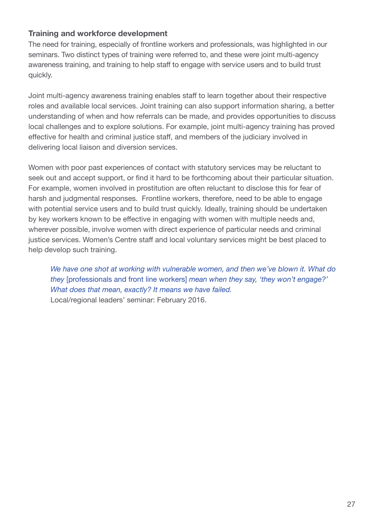#### **Training and workforce development**

The need for training, especially of frontline workers and professionals, was highlighted in our seminars. Two distinct types of training were referred to, and these were joint multi-agency awareness training, and training to help staff to engage with service users and to build trust quickly.

Joint multi-agency awareness training enables staff to learn together about their respective roles and available local services. Joint training can also support information sharing, a better understanding of when and how referrals can be made, and provides opportunities to discuss local challenges and to explore solutions. For example, joint multi-agency training has proved effective for health and criminal justice staff, and members of the judiciary involved in delivering local liaison and diversion services.

Women with poor past experiences of contact with statutory services may be reluctant to seek out and accept support, or find it hard to be forthcoming about their particular situation. For example, women involved in prostitution are often reluctant to disclose this for fear of harsh and judgmental responses. Frontline workers, therefore, need to be able to engage with potential service users and to build trust quickly. Ideally, training should be undertaken by key workers known to be effective in engaging with women with multiple needs and, wherever possible, involve women with direct experience of particular needs and criminal justice services. Women's Centre staff and local voluntary services might be best placed to help develop such training.

*We have one shot at working with vulnerable women, and then we've blown it. What do they* [professionals and front line workers] *mean when they say, 'they won't engage?' What does that mean, exactly? It means we have failed.* Local/regional leaders' seminar: February 2016.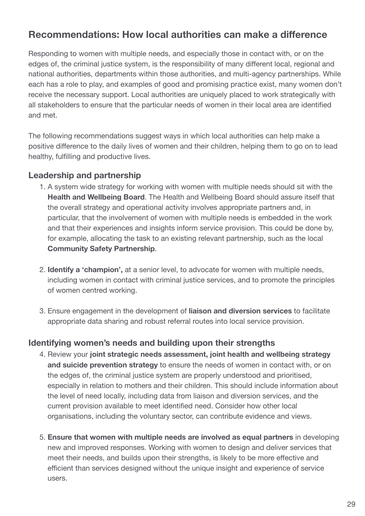## **Recommendations: How local authorities can make a difference**

Responding to women with multiple needs, and especially those in contact with, or on the edges of, the criminal justice system, is the responsibility of many different local, regional and national authorities, departments within those authorities, and multi-agency partnerships. While each has a role to play, and examples of good and promising practice exist, many women don't receive the necessary support. Local authorities are uniquely placed to work strategically with all stakeholders to ensure that the particular needs of women in their local area are identified and met.

The following recommendations suggest ways in which local authorities can help make a positive difference to the daily lives of women and their children, helping them to go on to lead healthy, fulfilling and productive lives.

#### **Leadership and partnership**

- 1. A system wide strategy for working with women with multiple needs should sit with the **Health and Wellbeing Board**. The Health and Wellbeing Board should assure itself that the overall strategy and operational activity involves appropriate partners and, in particular, that the involvement of women with multiple needs is embedded in the work and that their experiences and insights inform service provision. This could be done by, for example, allocating the task to an existing relevant partnership, such as the local **Community Safety Partnership**.
- 2. **Identify a 'champion',** at a senior level, to advocate for women with multiple needs, including women in contact with criminal justice services, and to promote the principles of women centred working.
- 3. Ensure engagement in the development of **liaison and diversion services** to facilitate appropriate data sharing and robust referral routes into local service provision.

#### **Identifying women's needs and building upon their strengths**

- 4. Review your **joint strategic needs assessment, joint health and wellbeing strategy and suicide prevention strategy** to ensure the needs of women in contact with, or on the edges of, the criminal justice system are properly understood and prioritised, especially in relation to mothers and their children. This should include information about the level of need locally, including data from liaison and diversion services, and the current provision available to meet identified need. Consider how other local organisations, including the voluntary sector, can contribute evidence and views.
- 5. **Ensure that women with multiple needs are involved as equal partners** in developing new and improved responses. Working with women to design and deliver services that meet their needs, and builds upon their strengths, is likely to be more effective and efficient than services designed without the unique insight and experience of service users.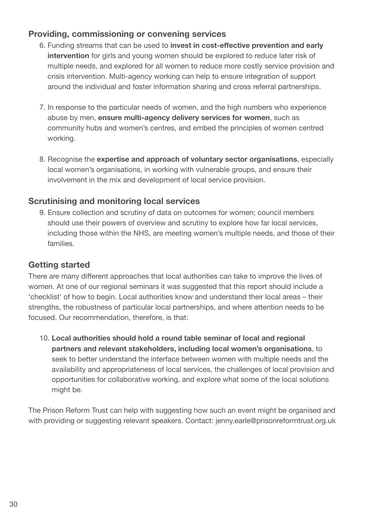### **Providing, commissioning or convening services**

- 6. Funding streams that can be used to **invest in cost-effective prevention and early intervention** for girls and young women should be explored to reduce later risk of multiple needs, and explored for all women to reduce more costly service provision and crisis intervention. Multi-agency working can help to ensure integration of support around the individual and foster information sharing and cross referral partnerships.
- 7. In response to the particular needs of women, and the high numbers who experience abuse by men, **ensure multi-agency delivery services for women**, such as community hubs and women's centres, and embed the principles of women centred working.
- 8. Recognise the **expertise and approach of voluntary sector organisations**, especially local women's organisations, in working with vulnerable groups, and ensure their involvement in the mix and development of local service provision.

### **Scrutinising and monitoring local services**

9. Ensure collection and scrutiny of data on outcomes for women; council members should use their powers of overview and scrutiny to explore how far local services, including those within the NHS, are meeting women's multiple needs, and those of their families.

### **Getting started**

There are many different approaches that local authorities can take to improve the lives of women. At one of our regional seminars it was suggested that this report should include a 'checklist' of how to begin. Local authorities know and understand their local areas – their strengths, the robustness of particular local partnerships, and where attention needs to be focused. Our recommendation, therefore, is that:

10. **Local authorities should hold a round table seminar of local and regional partners and relevant stakeholders, including local women's organisations**, to seek to better understand the interface between women with multiple needs and the availability and appropriateness of local services, the challenges of local provision and opportunities for collaborative working, and explore what some of the local solutions might be.

The Prison Reform Trust can help with suggesting how such an event might be organised and with providing or suggesting relevant speakers. Contact: jenny.earle@prisonreformtrust.org.uk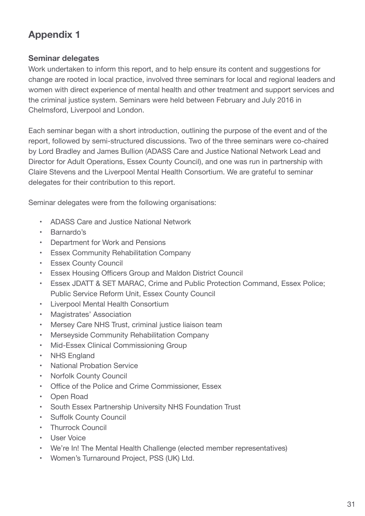## **Appendix 1**

#### **Seminar delegates**

Work undertaken to inform this report, and to help ensure its content and suggestions for change are rooted in local practice, involved three seminars for local and regional leaders and women with direct experience of mental health and other treatment and support services and the criminal justice system. Seminars were held between February and July 2016 in Chelmsford, Liverpool and London.

Each seminar began with a short introduction, outlining the purpose of the event and of the report, followed by semi-structured discussions. Two of the three seminars were co-chaired by Lord Bradley and James Bullion (ADASS Care and Justice National Network Lead and Director for Adult Operations, Essex County Council), and one was run in partnership with Claire Stevens and the Liverpool Mental Health Consortium. We are grateful to seminar delegates for their contribution to this report.

Seminar delegates were from the following organisations:

- ADASS Care and Justice National Network
- Barnardo's
- Department for Work and Pensions
- Essex Community Rehabilitation Company
- Essex County Council
- Essex Housing Officers Group and Maldon District Council
- Essex JDATT & SET MARAC, Crime and Public Protection Command, Essex Police; Public Service Reform Unit, Essex County Council
- Liverpool Mental Health Consortium
- Magistrates' Association
- Mersey Care NHS Trust, criminal justice liaison team
- Merseyside Community Rehabilitation Company
- Mid-Essex Clinical Commissioning Group
- NHS England
- National Probation Service
- Norfolk County Council
- Office of the Police and Crime Commissioner, Essex
- Open Road
- South Essex Partnership University NHS Foundation Trust
- Suffolk County Council
- Thurrock Council
- User Voice
- We're In! The Mental Health Challenge (elected member representatives)
- Women's Turnaround Project, PSS (UK) Ltd.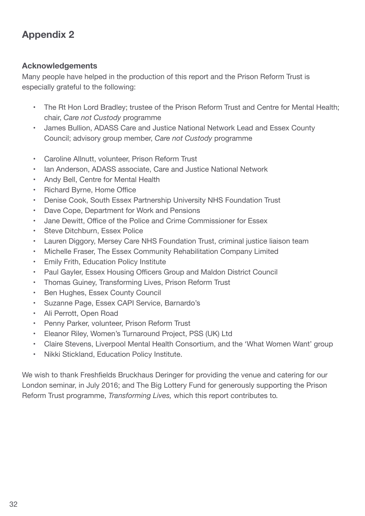## **Appendix 2**

#### **Acknowledgements**

Many people have helped in the production of this report and the Prison Reform Trust is especially grateful to the following:

- The Rt Hon Lord Bradley; trustee of the Prison Reform Trust and Centre for Mental Health; chair, *Care not Custody* programme
- James Bullion, ADASS Care and Justice National Network Lead and Essex County Council; advisory group member, *Care not Custody* programme
- Caroline Allnutt, volunteer, Prison Reform Trust
- Ian Anderson, ADASS associate, Care and Justice National Network
- Andy Bell, Centre for Mental Health
- Richard Byrne, Home Office
- Denise Cook, South Essex Partnership University NHS Foundation Trust
- Dave Cope, Department for Work and Pensions
- Jane Dewitt, Office of the Police and Crime Commissioner for Essex
- Steve Ditchburn, Essex Police
- Lauren Diggory, Mersey Care NHS Foundation Trust, criminal justice liaison team
- Michelle Fraser, The Essex Community Rehabilitation Company Limited
- Emily Frith, Education Policy Institute
- Paul Gayler, Essex Housing Officers Group and Maldon District Council
- Thomas Guiney, Transforming Lives, Prison Reform Trust
- Ben Hughes, Essex County Council
- Suzanne Page, Essex CAPI Service, Barnardo's
- Ali Perrott, Open Road
- Penny Parker, volunteer, Prison Reform Trust
- Eleanor Riley, Women's Turnaround Project, PSS (UK) Ltd
- Claire Stevens, Liverpool Mental Health Consortium, and the 'What Women Want' group
- Nikki Stickland, Education Policy Institute.

We wish to thank Freshfields Bruckhaus Deringer for providing the venue and catering for our London seminar, in July 2016; and The Big Lottery Fund for generously supporting the Prison Reform Trust programme, *Transforming Lives,* which this report contributes to*.*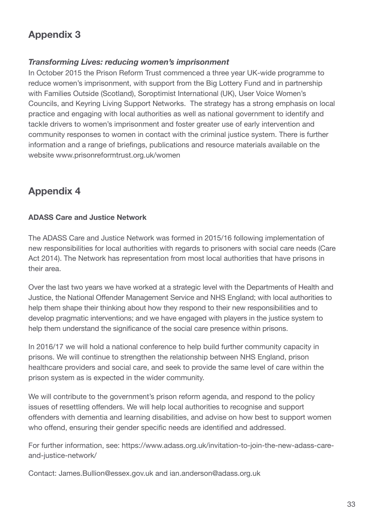## **Appendix 3**

### *Transforming Lives: reducing women's imprisonment*

In October 2015 the Prison Reform Trust commenced a three year UK-wide programme to reduce women's imprisonment, with support from the Big Lottery Fund and in partnership with Families Outside (Scotland), Soroptimist International (UK), User Voice Women's Councils, and Keyring Living Support Networks. The strategy has a strong emphasis on local practice and engaging with local authorities as well as national government to identify and tackle drivers to women's imprisonment and foster greater use of early intervention and community responses to women in contact with the criminal justice system. There is further information and a range of briefings, publications and resource materials available on the website www.prisonreformtrust.org.uk/women

## **Appendix 4**

#### **ADASS Care and Justice Network**

The ADASS Care and Justice Network was formed in 2015/16 following implementation of new responsibilities for local authorities with regards to prisoners with social care needs (Care Act 2014). The Network has representation from most local authorities that have prisons in their area.

Over the last two years we have worked at a strategic level with the Departments of Health and Justice, the National Offender Management Service and NHS England; with local authorities to help them shape their thinking about how they respond to their new responsibilities and to develop pragmatic interventions; and we have engaged with players in the justice system to help them understand the significance of the social care presence within prisons.

In 2016/17 we will hold a national conference to help build further community capacity in prisons. We will continue to strengthen the relationship between NHS England, prison healthcare providers and social care, and seek to provide the same level of care within the prison system as is expected in the wider community.

We will contribute to the government's prison reform agenda, and respond to the policy issues of resettling offenders. We will help local authorities to recognise and support offenders with dementia and learning disabilities, and advise on how best to support women who offend, ensuring their gender specific needs are identified and addressed.

For further information, see: https://www.adass.org.uk/invitation-to-join-the-new-adass-careand-justice-network/

Contact: James.Bullion@essex.gov.uk and ian.anderson@adass.org.uk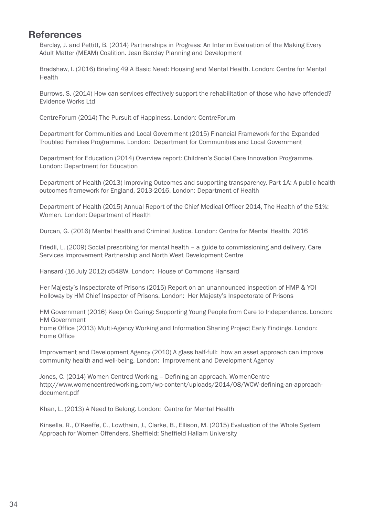## **References**

Barclay, J. and Pettitt, B. (2014) Partnerships in Progress: An Interim Evaluation of the Making Every Adult Matter (MEAM) Coalition. Jean Barclay Planning and Development

Bradshaw, I. (2016) Briefing 49 A Basic Need: Housing and Mental Health. London: Centre for Mental Health

Burrows, S. (2014) How can services effectively support the rehabilitation of those who have offended? Evidence Works Ltd

CentreForum (2014) The Pursuit of Happiness. London: CentreForum

Department for Communities and Local Government (2015) Financial Framework for the Expanded Troubled Families Programme. London: Department for Communities and Local Government

Department for Education (2014) Overview report: Children's Social Care Innovation Programme. London: Department for Education

Department of Health (2013) Improving Outcomes and supporting transparency. Part 1A: A public health outcomes framework for England, 2013-2016. London: Department of Health

Department of Health (2015) Annual Report of the Chief Medical Officer 2014, The Health of the 51%: Women. London: Department of Health

Durcan, G. (2016) Mental Health and Criminal Justice. London: Centre for Mental Health, 2016

Friedli, L. (2009) Social prescribing for mental health – a guide to commissioning and delivery. Care Services Improvement Partnership and North West Development Centre

Hansard (16 July 2012) c548W. London: House of Commons Hansard

Her Majesty's Inspectorate of Prisons (2015) Report on an unannounced inspection of HMP & YOI Holloway by HM Chief Inspector of Prisons. London: Her Majesty's Inspectorate of Prisons

HM Government (2016) Keep On Caring: Supporting Young People from Care to Independence. London: HM Government

Home Office (2013) Multi-Agency Working and Information Sharing Project Early Findings. London: Home Office

Improvement and Development Agency (2010) A glass half-full: how an asset approach can improve community health and well-being. London: Improvement and Development Agency

Jones, C. (2014) Women Centred Working – Defining an approach. WomenCentre http://www.womencentredworking.com/wp-content/uploads/2014/08/WCW-defining-an-approachdocument.pdf

Khan, L. (2013) A Need to Belong. London: Centre for Mental Health

Kinsella, R., O'Keeffe, C., Lowthain, J., Clarke, B., Ellison, M. (2015) Evaluation of the Whole System Approach for Women Offenders. Sheffield: Sheffield Hallam University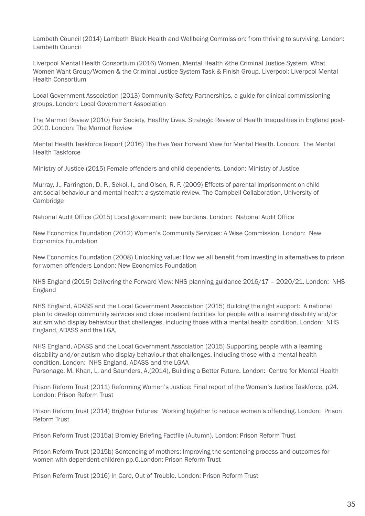Lambeth Council (2014) Lambeth Black Health and Wellbeing Commission: from thriving to surviving. London: Lambeth Council

Liverpool Mental Health Consortium (2016) Women, Mental Health &the Criminal Justice System, What Women Want Group/Women & the Criminal Justice System Task & Finish Group. Liverpool: Liverpool Mental Health Consortium

Local Government Association (2013) Community Safety Partnerships, a guide for clinical commissioning groups. London: Local Government Association

The Marmot Review (2010) Fair Society, Healthy Lives. Strategic Review of Health Inequalities in England post-2010. London: The Marmot Review

Mental Health Taskforce Report (2016) The Five Year Forward View for Mental Health. London: The Mental Health Taskforce

Ministry of Justice (2015) Female offenders and child dependents. London: Ministry of Justice

Murray, J., Farrington, D. P., Sekol, I., and Olsen, R. F. (2009) Effects of parental imprisonment on child antisocial behaviour and mental health: a systematic review. The Campbell Collaboration, University of Cambridge

National Audit Office (2015) Local government: new burdens. London: National Audit Office

New Economics Foundation (2012) Women's Community Services: A Wise Commission. London: New Economics Foundation

New Economics Foundation (2008) Unlocking value: How we all benefit from investing in alternatives to prison for women offenders London: New Economics Foundation

NHS England (2015) Delivering the Forward View: NHS planning guidance 2016/17 – 2020/21. London: NHS England

NHS England, ADASS and the Local Government Association (2015) Building the right support: A national plan to develop community services and close inpatient facilities for people with a learning disability and/or autism who display behaviour that challenges, including those with a mental health condition. London: NHS England, ADASS and the LGA,

NHS England, ADASS and the Local Government Association (2015) Supporting people with a learning disability and/or autism who display behaviour that challenges, including those with a mental health condition. London: NHS England, ADASS and the LGAA Parsonage, M. Khan, L. and Saunders, A.(2014), Building a Better Future. London: Centre for Mental Health

Prison Reform Trust (2011) Reforming Women's Justice: Final report of the Women's Justice Taskforce, p24. London: Prison Reform Trust

Prison Reform Trust (2014) Brighter Futures: Working together to reduce women's offending. London: Prison Reform Trust

Prison Reform Trust (2015a) Bromley Briefing Factfile (Autumn). London: Prison Reform Trust

Prison Reform Trust (2015b) Sentencing of mothers: Improving the sentencing process and outcomes for women with dependent children pp.6.London: Prison Reform Trust

Prison Reform Trust (2016) In Care, Out of Trouble. London: Prison Reform Trust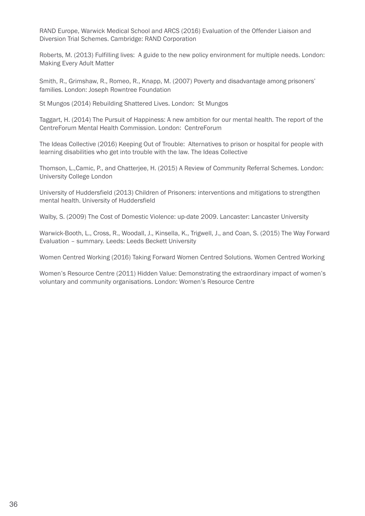RAND Europe, Warwick Medical School and ARCS (2016) Evaluation of the Offender Liaison and Diversion Trial Schemes. Cambridge: RAND Corporation

Roberts, M. (2013) Fulfilling lives: A guide to the new policy environment for multiple needs. London: Making Every Adult Matter

Smith, R., Grimshaw, R., Romeo, R., Knapp, M. (2007) Poverty and disadvantage among prisoners' families. London: Joseph Rowntree Foundation

St Mungos (2014) Rebuilding Shattered Lives. London: St Mungos

Taggart, H. (2014) The Pursuit of Happiness: A new ambition for our mental health*.* The report of the CentreForum Mental Health Commission. London: CentreForum

The Ideas Collective (2016) Keeping Out of Trouble: Alternatives to prison or hospital for people with learning disabilities who get into trouble with the law. The Ideas Collective

Thomson, L.,Camic, P., and Chatterjee, H. (2015) A Review of Community Referral Schemes. London: University College London

University of Huddersfield (2013) Children of Prisoners: interventions and mitigations to strengthen mental health. University of Huddersfield

Walby, S. (2009) The Cost of Domestic Violence: up-date 2009. Lancaster: Lancaster University

Warwick-Booth, L., Cross, R., Woodall, J., Kinsella, K., Trigwell, J., and Coan, S. (2015) The Way Forward Evaluation – summary. Leeds: Leeds Beckett University

Women Centred Working (2016) Taking Forward Women Centred Solutions. Women Centred Working

Women's Resource Centre (2011) Hidden Value: Demonstrating the extraordinary impact of women's voluntary and community organisations. London: Women's Resource Centre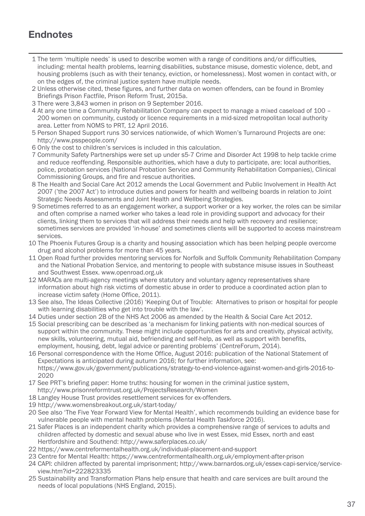## **Endnotes**

- 1 The term 'multiple needs' is used to describe women with a range of conditions and/or difficulties, including: mental health problems, learning disabilities, substance misuse, domestic violence, debt, and housing problems (such as with their tenancy, eviction, or homelessness). Most women in contact with, or on the edges of, the criminal justice system have multiple needs.
- 2 Unless otherwise cited, these figures, and further data on women offenders, can be found in Bromley Briefings Prison Factfile, Prison Reform Trust, 2015a.
- 3 There were 3,843 women in prison on 9 September 2016.
- 4 At any one time a Community Rehabilitation Company can expect to manage a mixed caseload of 100 200 women on community, custody or licence requirements in a mid-sized metropolitan local authority area. Letter from NOMS to PRT, 12 April 2016.
- 5 Person Shaped Support runs 30 services nationwide, of which Women's Turnaround Projects are one: http://www.psspeople.com/
- 6 Only the cost to children's services is included in this calculation.
- 7 Community Safety Partnerships were set up under s5-7 Crime and Disorder Act 1998 to help tackle crime and reduce reoffending. Responsible authorities, which have a duty to participate, are: local authorities, police, probation services (National Probation Service and Community Rehabilitation Companies), Clinical Commissioning Groups, and fire and rescue authorities.
- 8 The Health and Social Care Act 2012 amends the Local Government and Public Involvement in Health Act 2007 ('the 2007 Act') to introduce duties and powers for health and wellbeing boards in relation to Joint Strategic Needs Assessments and Joint Health and Wellbeing Strategies.
- 9 Sometimes referred to as an engagement worker, a support worker or a key worker, the roles can be similar and often comprise a named worker who takes a lead role in providing support and advocacy for their clients, linking them to services that will address their needs and help with recovery and resilience; sometimes services are provided 'in-house' and sometimes clients will be supported to access mainstream services.
- 10 The Phoenix Futures Group is a charity and housing association which has been helping people overcome drug and alcohol problems for more than 45 years.
- 11 Open Road further provides mentoring services for Norfolk and Suffolk Community Rehabilitation Company and the National Probation Service, and mentoring to people with substance misuse issues in Southeast and Southwest Essex. www.openroad.org.uk
- 12 MARACs are multi-agency meetings where statutory and voluntary agency representatives share information about high risk victims of domestic abuse in order to produce a coordinated action plan to increase victim safety (Home Office, 2011).
- 13 See also, The Ideas Collective (2016) 'Keeping Out of Trouble: Alternatives to prison or hospital for people with learning disabilities who get into trouble with the law'.
- 14 Duties under section 2B of the NHS Act 2006 as amended by the Health & Social Care Act 2012.
- 15 Social prescribing can be described as 'a mechanism for linking patients with non-medical sources of support within the community. These might include opportunities for arts and creativity, physical activity, new skills, volunteering, mutual aid, befriending and self-help, as well as support with benefits, employment, housing, debt, legal advice or parenting problems' (CentreForum, 2014).
- 16 Personal correspondence with the Home Office, August 2016: publication of the National Statement of Expectations is anticipated during autumn 2016; for further information, see: https://www.gov.uk/government/publications/strategy-to-end-violence-against-women-and-girls-2016-to-2020
- 17 See PRT's briefing paper: Home truths: housing for women in the criminal justice system, http://www.prisonreformtrust.org.uk/ProjectsResearch/Women
- 18 Langley House Trust provides resettlement services for ex-offenders.
- 19 http://www.womensbreakout.org.uk/start-today/
- 20 See also 'The Five Year Forward View for Mental Health', which recommends building an evidence base for vulnerable people with mental health problems (Mental Health Taskforce 2016).
- 21 Safer Places is an independent charity which provides a comprehensive range of services to adults and children affected by domestic and sexual abuse who live in west Essex, mid Essex, north and east Hertfordshire and Southend: http://www.saferplaces.co.uk/
- 22 https://www.centreformentalhealth.org.uk/individual-placement-and-support
- 23 Centre for Mental Health: https://www.centreformentalhealth.org.uk/employment-after-prison
- 24 CAPI: children affected by parental imprisonment; http://www.barnardos.org.uk/essex-capi-service/serviceview.htm?id=222823335
- 25 Sustainability and Transformation Plans help ensure that health and care services are built around the needs of local populations (NHS England, 2015).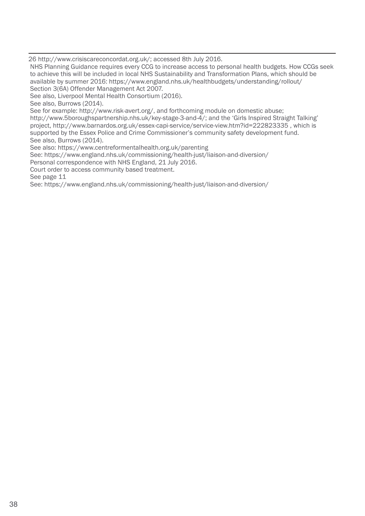26 http://www.crisiscareconcordat.org.uk/; accessed 8th July 2016.

NHS Planning Guidance requires every CCG to increase access to personal health budgets. How CCGs seek to achieve this will be included in local NHS Sustainability and Transformation Plans, which should be available by summer 2016: https://www.england.nhs.uk/healthbudgets/understanding/rollout/ Section 3(6A) Offender Management Act 2007.

See also, Liverpool Mental Health Consortium (2016).

See also, Burrows (2014).

See for example: http://www.risk-avert.org/, and forthcoming module on domestic abuse;

http://www.5boroughspartnership.nhs.uk/key-stage-3-and-4/; and the 'Girls Inspired Straight Talking' project, http://www.barnardos.org.uk/essex-capi-service/service-view.htm?id=222823335 , which is supported by the Essex Police and Crime Commissioner's community safety development fund. See also, Burrows (2014).

See also: https://www.centreformentalhealth.org.uk/parenting

See: https://www.england.nhs.uk/commissioning/health-just/liaison-and-diversion/

Personal correspondence with NHS England, 21 July 2016.

Court order to access community based treatment.

See page 11

See: https://www.england.nhs.uk/commissioning/health-just/liaison-and-diversion/